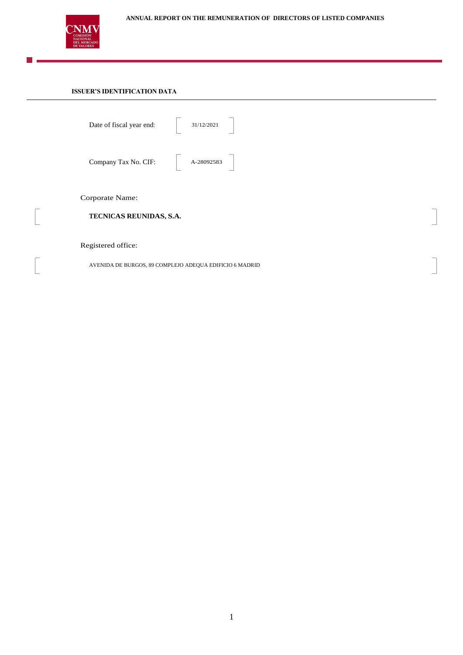

I.

 $\overline{\phantom{a}}$ 

 $\sqrt{2}$ 

# **ANNUAL REPORT ON THE REMUNERATION OF DIRECTORS OF LISTED COMPANIES**

# **ISSUER'S IDENTIFICATION DATA**

| Date of fiscal year end:                   | 31/12/2021                                              |  |  |  |  |  |  |  |  |  |  |
|--------------------------------------------|---------------------------------------------------------|--|--|--|--|--|--|--|--|--|--|
| Company Tax No. CIF: A-28092583            |                                                         |  |  |  |  |  |  |  |  |  |  |
| Corporate Name:<br>TECNICAS REUNIDAS, S.A. |                                                         |  |  |  |  |  |  |  |  |  |  |
| Registered office:                         |                                                         |  |  |  |  |  |  |  |  |  |  |
|                                            | AVENIDA DE BURGOS, 89 COMPLEJO ADEQUA EDIFICIO 6 MADRID |  |  |  |  |  |  |  |  |  |  |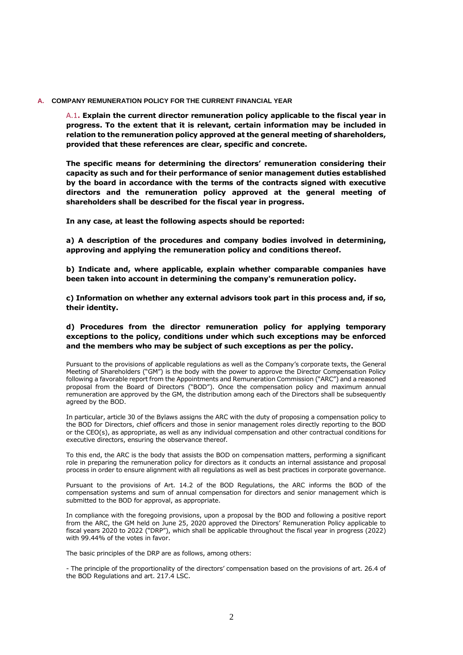### **A. COMPANY REMUNERATION POLICY FOR THE CURRENT FINANCIAL YEAR**

A.1**. Explain the current director remuneration policy applicable to the fiscal year in progress. To the extent that it is relevant, certain information may be included in relation to the remuneration policy approved at the general meeting of shareholders, provided that these references are clear, specific and concrete.**

**The specific means for determining the directors' remuneration considering their capacity as such and for their performance of senior management duties established by the board in accordance with the terms of the contracts signed with executive directors and the remuneration policy approved at the general meeting of shareholders shall be described for the fiscal year in progress.**

**In any case, at least the following aspects should be reported:**

**a) A description of the procedures and company bodies involved in determining, approving and applying the remuneration policy and conditions thereof.** 

**b) Indicate and, where applicable, explain whether comparable companies have been taken into account in determining the company's remuneration policy.** 

**c) Information on whether any external advisors took part in this process and, if so, their identity.** 

**d) Procedures from the director remuneration policy for applying temporary exceptions to the policy, conditions under which such exceptions may be enforced and the members who may be subject of such exceptions as per the policy.** 

Pursuant to the provisions of applicable regulations as well as the Company's corporate texts, the General Meeting of Shareholders ("GM") is the body with the power to approve the Director Compensation Policy following a favorable report from the Appointments and Remuneration Commission ("ARC") and a reasoned proposal from the Board of Directors ("BOD"). Once the compensation policy and maximum annual remuneration are approved by the GM, the distribution among each of the Directors shall be subsequently agreed by the BOD.

In particular, article 30 of the Bylaws assigns the ARC with the duty of proposing a compensation policy to the BOD for Directors, chief officers and those in senior management roles directly reporting to the BOD or the CEO(s), as appropriate, as well as any individual compensation and other contractual conditions for executive directors, ensuring the observance thereof.

To this end, the ARC is the body that assists the BOD on compensation matters, performing a significant role in preparing the remuneration policy for directors as it conducts an internal assistance and proposal process in order to ensure alignment with all regulations as well as best practices in corporate governance.

Pursuant to the provisions of Art. 14.2 of the BOD Regulations, the ARC informs the BOD of the compensation systems and sum of annual compensation for directors and senior management which is submitted to the BOD for approval, as appropriate.

In compliance with the foregoing provisions, upon a proposal by the BOD and following a positive report from the ARC, the GM held on June 25, 2020 approved the Directors' Remuneration Policy applicable to fiscal years 2020 to 2022 ("DRP"), which shall be applicable throughout the fiscal year in progress (2022) with 99.44% of the votes in favor.

The basic principles of the DRP are as follows, among others:

- The principle of the proportionality of the directors' compensation based on the provisions of art. 26.4 of the BOD Regulations and art. 217.4 LSC.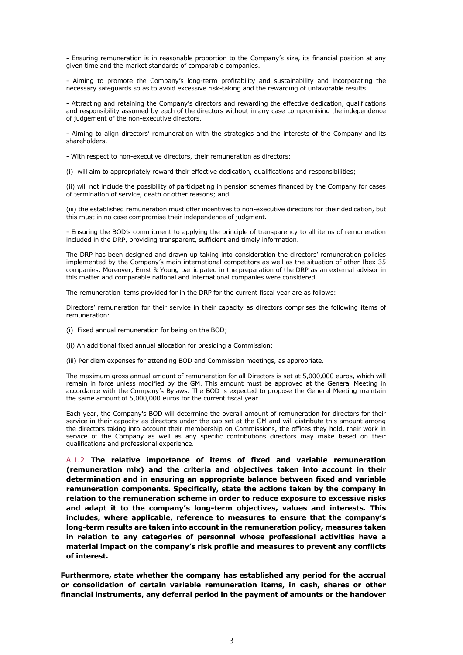- Ensuring remuneration is in reasonable proportion to the Company's size, its financial position at any given time and the market standards of comparable companies.

- Aiming to promote the Company's long-term profitability and sustainability and incorporating the necessary safeguards so as to avoid excessive risk-taking and the rewarding of unfavorable results.

- Attracting and retaining the Company's directors and rewarding the effective dedication, qualifications and responsibility assumed by each of the directors without in any case compromising the independence of judgement of the non-executive directors.

- Aiming to align directors' remuneration with the strategies and the interests of the Company and its shareholders.

- With respect to non-executive directors, their remuneration as directors:

(i) will aim to appropriately reward their effective dedication, qualifications and responsibilities;

(ii) will not include the possibility of participating in pension schemes financed by the Company for cases of termination of service, death or other reasons; and

(iii) the established remuneration must offer incentives to non-executive directors for their dedication, but this must in no case compromise their independence of judgment.

- Ensuring the BOD's commitment to applying the principle of transparency to all items of remuneration included in the DRP, providing transparent, sufficient and timely information.

The DRP has been designed and drawn up taking into consideration the directors' remuneration policies implemented by the Company's main international competitors as well as the situation of other Ibex 35 companies. Moreover, Ernst & Young participated in the preparation of the DRP as an external advisor in this matter and comparable national and international companies were considered.

The remuneration items provided for in the DRP for the current fiscal year are as follows:

Directors' remuneration for their service in their capacity as directors comprises the following items of remuneration:

(i) Fixed annual remuneration for being on the BOD;

(ii) An additional fixed annual allocation for presiding a Commission;

(iii) Per diem expenses for attending BOD and Commission meetings, as appropriate.

The maximum gross annual amount of remuneration for all Directors is set at 5,000,000 euros, which will remain in force unless modified by the GM. This amount must be approved at the General Meeting in accordance with the Company's Bylaws. The BOD is expected to propose the General Meeting maintain the same amount of 5,000,000 euros for the current fiscal year.

Each year, the Company's BOD will determine the overall amount of remuneration for directors for their service in their capacity as directors under the cap set at the GM and will distribute this amount among the directors taking into account their membership on Commissions, the offices they hold, their work in service of the Company as well as any specific contributions directors may make based on their qualifications and professional experience.

A.1.2 **The relative importance of items of fixed and variable remuneration (remuneration mix) and the criteria and objectives taken into account in their determination and in ensuring an appropriate balance between fixed and variable remuneration components. Specifically, state the actions taken by the company in relation to the remuneration scheme in order to reduce exposure to excessive risks and adapt it to the company's long-term objectives, values and interests. This includes, where applicable, reference to measures to ensure that the company's long-term results are taken into account in the remuneration policy, measures taken in relation to any categories of personnel whose professional activities have a material impact on the company's risk profile and measures to prevent any conflicts of interest.**

**Furthermore, state whether the company has established any period for the accrual or consolidation of certain variable remuneration items, in cash, shares or other financial instruments, any deferral period in the payment of amounts or the handover**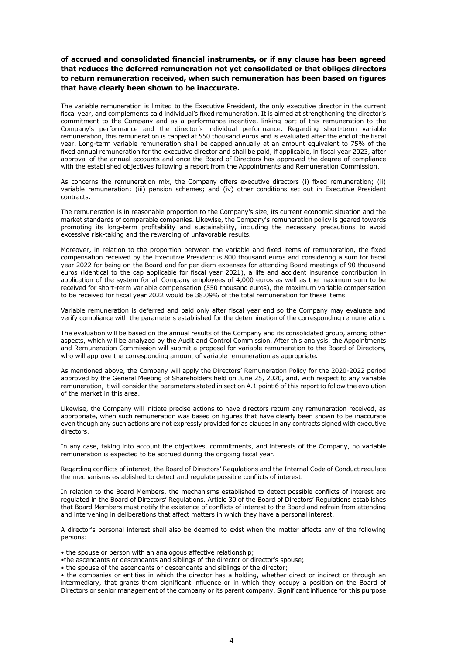**of accrued and consolidated financial instruments, or if any clause has been agreed that reduces the deferred remuneration not yet consolidated or that obliges directors to return remuneration received, when such remuneration has been based on figures that have clearly been shown to be inaccurate.**

The variable remuneration is limited to the Executive President, the only executive director in the current fiscal year, and complements said individual's fixed remuneration. It is aimed at strengthening the director's commitment to the Company and as a performance incentive, linking part of this remuneration to the Company's performance and the director's individual performance. Regarding short-term variable remuneration, this remuneration is capped at 550 thousand euros and is evaluated after the end of the fiscal year. Long-term variable remuneration shall be capped annually at an amount equivalent to 75% of the fixed annual remuneration for the executive director and shall be paid, if applicable, in fiscal year 2023, after approval of the annual accounts and once the Board of Directors has approved the degree of compliance with the established objectives following a report from the Appointments and Remuneration Commission.

As concerns the remuneration mix, the Company offers executive directors (i) fixed remuneration; (ii) variable remuneration; (iii) pension schemes; and (iv) other conditions set out in Executive President contracts.

The remuneration is in reasonable proportion to the Company's size, its current economic situation and the market standards of comparable companies. Likewise, the Company's remuneration policy is geared towards promoting its long-term profitability and sustainability, including the necessary precautions to avoid excessive risk-taking and the rewarding of unfavorable results.

Moreover, in relation to the proportion between the variable and fixed items of remuneration, the fixed compensation received by the Executive President is 800 thousand euros and considering a sum for fiscal year 2022 for being on the Board and for per diem expenses for attending Board meetings of 90 thousand euros (identical to the cap applicable for fiscal year 2021), a life and accident insurance contribution in application of the system for all Company employees of 4,000 euros as well as the maximum sum to be received for short-term variable compensation (550 thousand euros), the maximum variable compensation to be received for fiscal year 2022 would be 38.09% of the total remuneration for these items.

Variable remuneration is deferred and paid only after fiscal year end so the Company may evaluate and verify compliance with the parameters established for the determination of the corresponding remuneration.

The evaluation will be based on the annual results of the Company and its consolidated group, among other aspects, which will be analyzed by the Audit and Control Commission. After this analysis, the Appointments and Remuneration Commission will submit a proposal for variable remuneration to the Board of Directors, who will approve the corresponding amount of variable remuneration as appropriate.

As mentioned above, the Company will apply the Directors' Remuneration Policy for the 2020-2022 period approved by the General Meeting of Shareholders held on June 25, 2020, and, with respect to any variable remuneration, it will consider the parameters stated in section A.1 point 6 of this report to follow the evolution of the market in this area.

Likewise, the Company will initiate precise actions to have directors return any remuneration received, as appropriate, when such remuneration was based on figures that have clearly been shown to be inaccurate even though any such actions are not expressly provided for as clauses in any contracts signed with executive directors.

In any case, taking into account the objectives, commitments, and interests of the Company, no variable remuneration is expected to be accrued during the ongoing fiscal year.

Regarding conflicts of interest, the Board of Directors' Regulations and the Internal Code of Conduct regulate the mechanisms established to detect and regulate possible conflicts of interest.

In relation to the Board Members, the mechanisms established to detect possible conflicts of interest are regulated in the Board of Directors' Regulations. Article 30 of the Board of Directors' Regulations establishes that Board Members must notify the existence of conflicts of interest to the Board and refrain from attending and intervening in deliberations that affect matters in which they have a personal interest.

A director's personal interest shall also be deemed to exist when the matter affects any of the following persons:

• the spouse or person with an analogous affective relationship;

•the ascendants or descendants and siblings of the director or director's spouse;

• the spouse of the ascendants or descendants and siblings of the director;

• the companies or entities in which the director has a holding, whether direct or indirect or through an intermediary, that grants them significant influence or in which they occupy a position on the Board of Directors or senior management of the company or its parent company. Significant influence for this purpose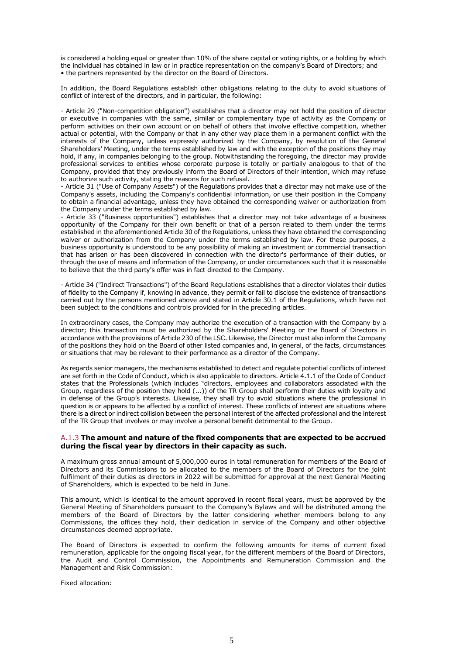is considered a holding equal or greater than 10% of the share capital or voting rights, or a holding by which the individual has obtained in law or in practice representation on the company's Board of Directors; and • the partners represented by the director on the Board of Directors.

In addition, the Board Regulations establish other obligations relating to the duty to avoid situations of conflict of interest of the directors, and in particular, the following:

- Article 29 ("Non-competition obligation") establishes that a director may not hold the position of director or executive in companies with the same, similar or complementary type of activity as the Company or perform activities on their own account or on behalf of others that involve effective competition, whether actual or potential, with the Company or that in any other way place them in a permanent conflict with the interests of the Company, unless expressly authorized by the Company, by resolution of the General Shareholders' Meeting, under the terms established by law and with the exception of the positions they may hold, if any, in companies belonging to the group. Notwithstanding the foregoing, the director may provide professional services to entities whose corporate purpose is totally or partially analogous to that of the Company, provided that they previously inform the Board of Directors of their intention, which may refuse to authorize such activity, stating the reasons for such refusal.

- Article 31 ("Use of Company Assets") of the Regulations provides that a director may not make use of the Company's assets, including the Company's confidential information, or use their position in the Company to obtain a financial advantage, unless they have obtained the corresponding waiver or authorization from the Company under the terms established by law.

- Article 33 ("Business opportunities") establishes that a director may not take advantage of a business opportunity of the Company for their own benefit or that of a person related to them under the terms established in the aforementioned Article 30 of the Regulations, unless they have obtained the corresponding waiver or authorization from the Company under the terms established by law. For these purposes, a business opportunity is understood to be any possibility of making an investment or commercial transaction that has arisen or has been discovered in connection with the director's performance of their duties, or through the use of means and information of the Company, or under circumstances such that it is reasonable to believe that the third party's offer was in fact directed to the Company.

- Article 34 ("Indirect Transactions") of the Board Regulations establishes that a director violates their duties of fidelity to the Company if, knowing in advance, they permit or fail to disclose the existence of transactions carried out by the persons mentioned above and stated in Article 30.1 of the Regulations, which have not been subject to the conditions and controls provided for in the preceding articles.

In extraordinary cases, the Company may authorize the execution of a transaction with the Company by a director; this transaction must be authorized by the Shareholders' Meeting or the Board of Directors in accordance with the provisions of Article 230 of the LSC. Likewise, the Director must also inform the Company of the positions they hold on the Board of other listed companies and, in general, of the facts, circumstances or situations that may be relevant to their performance as a director of the Company.

As regards senior managers, the mechanisms established to detect and regulate potential conflicts of interest are set forth in the Code of Conduct, which is also applicable to directors. Article 4.1.1 of the Code of Conduct states that the Professionals (which includes "directors, employees and collaborators associated with the Group, regardless of the position they hold (...)) of the TR Group shall perform their duties with loyalty and in defense of the Group's interests. Likewise, they shall try to avoid situations where the professional in question is or appears to be affected by a conflict of interest. These conflicts of interest are situations where there is a direct or indirect collision between the personal interest of the affected professional and the interest of the TR Group that involves or may involve a personal benefit detrimental to the Group.

#### A.1.3 **The amount and nature of the fixed components that are expected to be accrued during the fiscal year by directors in their capacity as such.**

A maximum gross annual amount of 5,000,000 euros in total remuneration for members of the Board of Directors and its Commissions to be allocated to the members of the Board of Directors for the joint fulfilment of their duties as directors in 2022 will be submitted for approval at the next General Meeting of Shareholders, which is expected to be held in June.

This amount, which is identical to the amount approved in recent fiscal years, must be approved by the General Meeting of Shareholders pursuant to the Company's Bylaws and will be distributed among the members of the Board of Directors by the latter considering whether members belong to any Commissions, the offices they hold, their dedication in service of the Company and other objective circumstances deemed appropriate.

The Board of Directors is expected to confirm the following amounts for items of current fixed remuneration, applicable for the ongoing fiscal year, for the different members of the Board of Directors, the Audit and Control Commission, the Appointments and Remuneration Commission and the Management and Risk Commission:

Fixed allocation: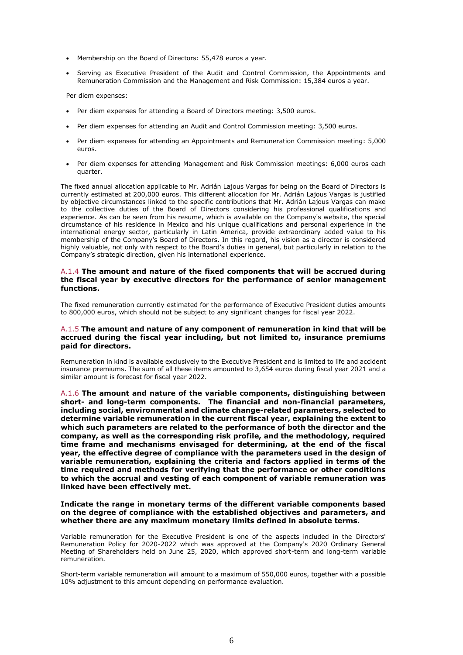- Membership on the Board of Directors: 55,478 euros a year.
- Serving as Executive President of the Audit and Control Commission, the Appointments and Remuneration Commission and the Management and Risk Commission: 15,384 euros a year.

Per diem expenses:

- Per diem expenses for attending a Board of Directors meeting: 3,500 euros.
- Per diem expenses for attending an Audit and Control Commission meeting: 3,500 euros.
- Per diem expenses for attending an Appointments and Remuneration Commission meeting: 5,000 euros.
- Per diem expenses for attending Management and Risk Commission meetings: 6,000 euros each quarter.

The fixed annual allocation applicable to Mr. Adrián Lajous Vargas for being on the Board of Directors is currently estimated at 200,000 euros. This different allocation for Mr. Adrián Lajous Vargas is justified by objective circumstances linked to the specific contributions that Mr. Adrián Lajous Vargas can make to the collective duties of the Board of Directors considering his professional qualifications and experience. As can be seen from his resume, which is available on the Company's website, the special circumstance of his residence in Mexico and his unique qualifications and personal experience in the international energy sector, particularly in Latin America, provide extraordinary added value to his membership of the Company's Board of Directors. In this regard, his vision as a director is considered highly valuable, not only with respect to the Board's duties in general, but particularly in relation to the Company's strategic direction, given his international experience.

### A.1.4 **The amount and nature of the fixed components that will be accrued during the fiscal year by executive directors for the performance of senior management functions.**

The fixed remuneration currently estimated for the performance of Executive President duties amounts to 800,000 euros, which should not be subject to any significant changes for fiscal year 2022.

## A.1.5 **The amount and nature of any component of remuneration in kind that will be accrued during the fiscal year including, but not limited to, insurance premiums paid for directors.**

Remuneration in kind is available exclusively to the Executive President and is limited to life and accident insurance premiums. The sum of all these items amounted to 3,654 euros during fiscal year 2021 and a similar amount is forecast for fiscal year 2022.

A.1.6 **The amount and nature of the variable components, distinguishing between short- and long-term components. The financial and non-financial parameters, including social, environmental and climate change-related parameters, selected to determine variable remuneration in the current fiscal year, explaining the extent to which such parameters are related to the performance of both the director and the company, as well as the corresponding risk profile, and the methodology, required time frame and mechanisms envisaged for determining, at the end of the fiscal year, the effective degree of compliance with the parameters used in the design of variable remuneration, explaining the criteria and factors applied in terms of the time required and methods for verifying that the performance or other conditions to which the accrual and vesting of each component of variable remuneration was linked have been effectively met.**

### **Indicate the range in monetary terms of the different variable components based on the degree of compliance with the established objectives and parameters, and whether there are any maximum monetary limits defined in absolute terms.**

Variable remuneration for the Executive President is one of the aspects included in the Directors' Remuneration Policy for 2020-2022 which was approved at the Company's 2020 Ordinary General Meeting of Shareholders held on June 25, 2020, which approved short-term and long-term variable remuneration.

Short-term variable remuneration will amount to a maximum of 550,000 euros, together with a possible 10% adjustment to this amount depending on performance evaluation.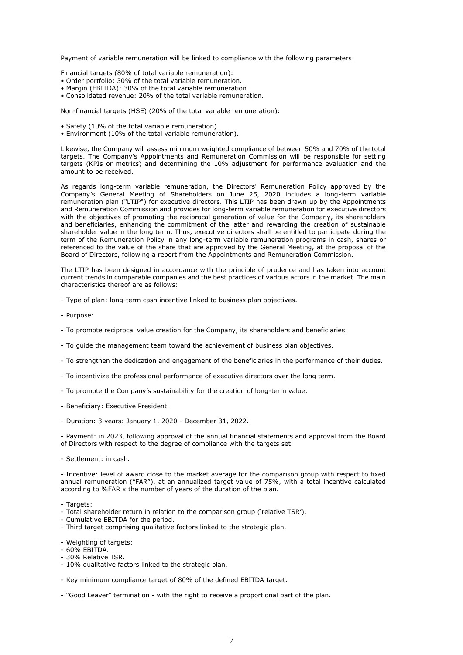Payment of variable remuneration will be linked to compliance with the following parameters:

Financial targets (80% of total variable remuneration):

- Order portfolio: 30% of the total variable remuneration.
- Margin (EBITDA): 30% of the total variable remuneration.
- Consolidated revenue: 20% of the total variable remuneration.

Non-financial targets (HSE) (20% of the total variable remuneration):

- Safety (10% of the total variable remuneration).
- Environment (10% of the total variable remuneration).

Likewise, the Company will assess minimum weighted compliance of between 50% and 70% of the total targets. The Company's Appointments and Remuneration Commission will be responsible for setting targets (KPIs or metrics) and determining the 10% adjustment for performance evaluation and the amount to be received.

As regards long-term variable remuneration, the Directors' Remuneration Policy approved by the Company's General Meeting of Shareholders on June 25, 2020 includes a long-term variable remuneration plan ("LTIP") for executive directors. This LTIP has been drawn up by the Appointments and Remuneration Commission and provides for long-term variable remuneration for executive directors with the objectives of promoting the reciprocal generation of value for the Company, its shareholders and beneficiaries, enhancing the commitment of the latter and rewarding the creation of sustainable shareholder value in the long term. Thus, executive directors shall be entitled to participate during the term of the Remuneration Policy in any long-term variable remuneration programs in cash, shares or referenced to the value of the share that are approved by the General Meeting, at the proposal of the Board of Directors, following a report from the Appointments and Remuneration Commission.

The LTIP has been designed in accordance with the principle of prudence and has taken into account current trends in comparable companies and the best practices of various actors in the market. The main characteristics thereof are as follows:

- Type of plan: long-term cash incentive linked to business plan objectives.

- Purpose:
- To promote reciprocal value creation for the Company, its shareholders and beneficiaries.
- To guide the management team toward the achievement of business plan objectives.
- To strengthen the dedication and engagement of the beneficiaries in the performance of their duties.
- To incentivize the professional performance of executive directors over the long term.
- To promote the Company's sustainability for the creation of long-term value.
- Beneficiary: Executive President.
- Duration: 3 years: January 1, 2020 December 31, 2022.

- Payment: in 2023, following approval of the annual financial statements and approval from the Board of Directors with respect to the degree of compliance with the targets set.

- Settlement: in cash.

- Incentive: level of award close to the market average for the comparison group with respect to fixed annual remuneration ("FAR"), at an annualized target value of 75%, with a total incentive calculated according to %FAR x the number of years of the duration of the plan.

- Targets:
- Total shareholder return in relation to the comparison group ('relative TSR').
- Cumulative EBITDA for the period.
- Third target comprising qualitative factors linked to the strategic plan.
- Weighting of targets:
- 60% EBITDA.
- 30% Relative TSR.
- 10% qualitative factors linked to the strategic plan.
- Key minimum compliance target of 80% of the defined EBITDA target.
- "Good Leaver" termination with the right to receive a proportional part of the plan.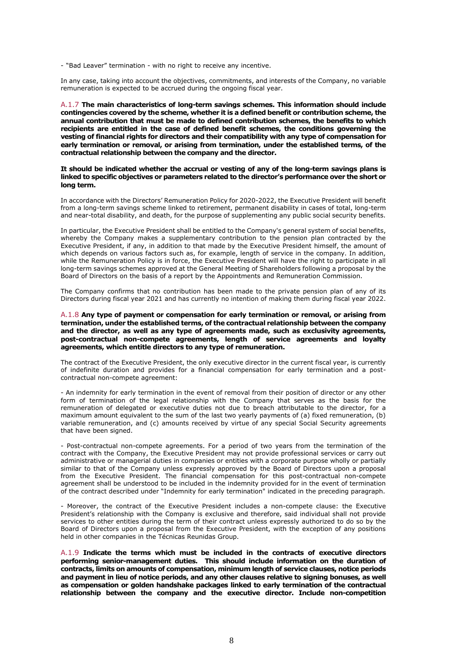- "Bad Leaver" termination - with no right to receive any incentive.

In any case, taking into account the objectives, commitments, and interests of the Company, no variable remuneration is expected to be accrued during the ongoing fiscal year.

A.1.7 **The main characteristics of long-term savings schemes. This information should include contingencies covered by the scheme, whether it is a defined benefit or contribution scheme, the annual contribution that must be made to defined contribution schemes, the benefits to which recipients are entitled in the case of defined benefit schemes, the conditions governing the vesting of financial rights for directors and their compatibility with any type of compensation for early termination or removal, or arising from termination, under the established terms, of the contractual relationship between the company and the director.** 

#### **It should be indicated whether the accrual or vesting of any of the long-term savings plans is linked to specific objectives or parameters related to the director's performance over the short or long term.**

In accordance with the Directors' Remuneration Policy for 2020-2022, the Executive President will benefit from a long-term savings scheme linked to retirement, permanent disability in cases of total, long-term and near-total disability, and death, for the purpose of supplementing any public social security benefits.

In particular, the Executive President shall be entitled to the Company's general system of social benefits, whereby the Company makes a supplementary contribution to the pension plan contracted by the Executive President, if any, in addition to that made by the Executive President himself, the amount of which depends on various factors such as, for example, length of service in the company. In addition, while the Remuneration Policy is in force, the Executive President will have the right to participate in all long-term savings schemes approved at the General Meeting of Shareholders following a proposal by the Board of Directors on the basis of a report by the Appointments and Remuneration Commission.

The Company confirms that no contribution has been made to the private pension plan of any of its Directors during fiscal year 2021 and has currently no intention of making them during fiscal year 2022.

#### A.1.8 **Any type of payment or compensation for early termination or removal, or arising from termination, under the established terms, of the contractual relationship between the company and the director, as well as any type of agreements made, such as exclusivity agreements, post-contractual non-compete agreements, length of service agreements and loyalty agreements, which entitle directors to any type of remuneration.**

The contract of the Executive President, the only executive director in the current fiscal year, is currently of indefinite duration and provides for a financial compensation for early termination and a postcontractual non-compete agreement:

- An indemnity for early termination in the event of removal from their position of director or any other form of termination of the legal relationship with the Company that serves as the basis for the remuneration of delegated or executive duties not due to breach attributable to the director, for a maximum amount equivalent to the sum of the last two yearly payments of (a) fixed remuneration, (b) variable remuneration, and (c) amounts received by virtue of any special Social Security agreements that have been signed.

- Post-contractual non-compete agreements. For a period of two years from the termination of the contract with the Company, the Executive President may not provide professional services or carry out administrative or managerial duties in companies or entities with a corporate purpose wholly or partially similar to that of the Company unless expressly approved by the Board of Directors upon a proposal from the Executive President. The financial compensation for this post-contractual non-compete agreement shall be understood to be included in the indemnity provided for in the event of termination of the contract described under "Indemnity for early termination" indicated in the preceding paragraph.

- Moreover, the contract of the Executive President includes a non-compete clause: the Executive President's relationship with the Company is exclusive and therefore, said individual shall not provide services to other entities during the term of their contract unless expressly authorized to do so by the Board of Directors upon a proposal from the Executive President, with the exception of any positions held in other companies in the Técnicas Reunidas Group.

A.1.9 **Indicate the terms which must be included in the contracts of executive directors performing senior-management duties. This should include information on the duration of contracts, limits on amounts of compensation, minimum length of service clauses, notice periods and payment in lieu of notice periods, and any other clauses relative to signing bonuses, as well as compensation or golden handshake packages linked to early termination of the contractual relationship between the company and the executive director. Include non-competition**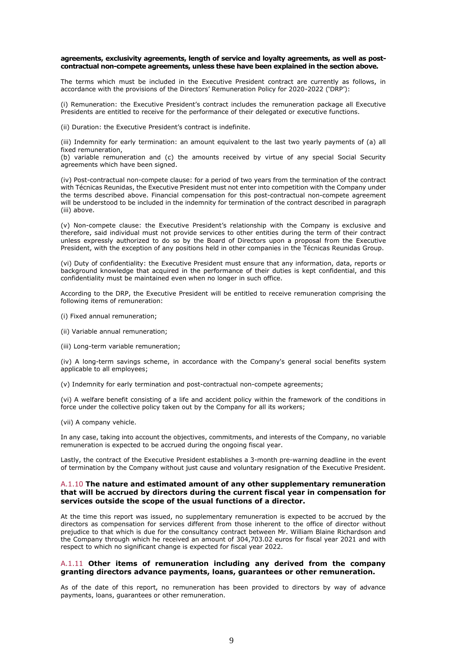#### **agreements, exclusivity agreements, length of service and loyalty agreements, as well as postcontractual non-compete agreements, unless these have been explained in the section above.**

The terms which must be included in the Executive President contract are currently as follows, in accordance with the provisions of the Directors' Remuneration Policy for 2020-2022 ('DRP'):

(i) Remuneration: the Executive President's contract includes the remuneration package all Executive Presidents are entitled to receive for the performance of their delegated or executive functions.

(ii) Duration: the Executive President's contract is indefinite.

(iii) Indemnity for early termination: an amount equivalent to the last two yearly payments of (a) all fixed remuneration,

(b) variable remuneration and (c) the amounts received by virtue of any special Social Security agreements which have been signed.

(iv) Post-contractual non-compete clause: for a period of two years from the termination of the contract with Técnicas Reunidas, the Executive President must not enter into competition with the Company under the terms described above. Financial compensation for this post-contractual non-compete agreement will be understood to be included in the indemnity for termination of the contract described in paragraph (iii) above.

(v) Non-compete clause: the Executive President's relationship with the Company is exclusive and therefore, said individual must not provide services to other entities during the term of their contract unless expressly authorized to do so by the Board of Directors upon a proposal from the Executive President, with the exception of any positions held in other companies in the Técnicas Reunidas Group.

(vi) Duty of confidentiality: the Executive President must ensure that any information, data, reports or background knowledge that acquired in the performance of their duties is kept confidential, and this confidentiality must be maintained even when no longer in such office.

According to the DRP, the Executive President will be entitled to receive remuneration comprising the following items of remuneration:

- (i) Fixed annual remuneration;
- (ii) Variable annual remuneration;
- (iii) Long-term variable remuneration;

(iv) A long-term savings scheme, in accordance with the Company's general social benefits system applicable to all employees;

(v) Indemnity for early termination and post-contractual non-compete agreements;

(vi) A welfare benefit consisting of a life and accident policy within the framework of the conditions in force under the collective policy taken out by the Company for all its workers;

(vii) A company vehicle.

In any case, taking into account the objectives, commitments, and interests of the Company, no variable remuneration is expected to be accrued during the ongoing fiscal year.

Lastly, the contract of the Executive President establishes a 3-month pre-warning deadline in the event of termination by the Company without just cause and voluntary resignation of the Executive President.

### A.1.10 **The nature and estimated amount of any other supplementary remuneration that will be accrued by directors during the current fiscal year in compensation for services outside the scope of the usual functions of a director.**

At the time this report was issued, no supplementary remuneration is expected to be accrued by the directors as compensation for services different from those inherent to the office of director without prejudice to that which is due for the consultancy contract between Mr. William Blaine Richardson and the Company through which he received an amount of 304,703.02 euros for fiscal year 2021 and with respect to which no significant change is expected for fiscal year 2022.

### A.1.11 **Other items of remuneration including any derived from the company granting directors advance payments, loans, guarantees or other remuneration.**

As of the date of this report, no remuneration has been provided to directors by way of advance payments, loans, guarantees or other remuneration.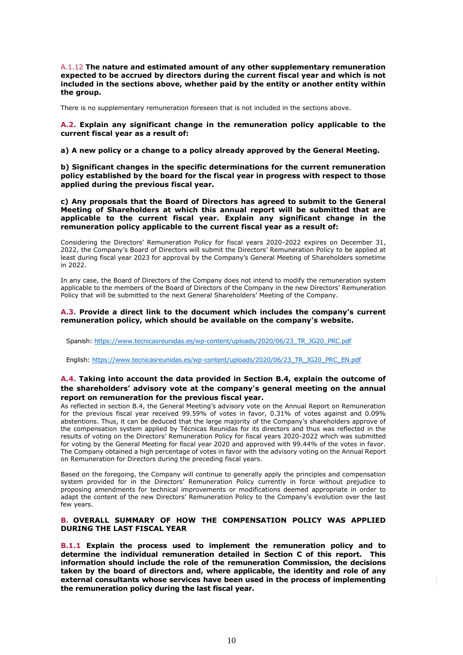A.1.12 **The nature and estimated amount of any other supplementary remuneration expected to be accrued by directors during the current fiscal year and which is not included in the sections above, whether paid by the entity or another entity within the group.**

There is no supplementary remuneration foreseen that is not included in the sections above.

**A.2. Explain any significant change in the remuneration policy applicable to the current fiscal year as a result of:**

**a) A new policy or a change to a policy already approved by the General Meeting.** 

**b) Significant changes in the specific determinations for the current remuneration policy established by the board for the fiscal year in progress with respect to those applied during the previous fiscal year.** 

**c) Any proposals that the Board of Directors has agreed to submit to the General Meeting of Shareholders at which this annual report will be submitted that are applicable to the current fiscal year. Explain any significant change in the remuneration policy applicable to the current fiscal year as a result of:**

Considering the Directors' Remuneration Policy for fiscal years 2020-2022 expires on December 31, 2022, the Company's Board of Directors will submit the Directors' Remuneration Policy to be applied at least during fiscal year 2023 for approval by the Company's General Meeting of Shareholders sometime in 2022.

In any case, the Board of Directors of the Company does not intend to modify the remuneration system applicable to the members of the Board of Directors of the Company in the new Directors' Remuneration Policy that will be submitted to the next General Shareholders' Meeting of the Company.

#### **A.3. Provide a direct link to the document which includes the company's current remuneration policy, which should be available on the company's website.**

Spanish[: https://www.tecnicasreunidas.es/wp-content/uploads/2020/06/23\\_TR\\_JG20\\_PRC.pdf](https://www.tecnicasreunidas.es/wp-content/uploads/2020/06/23_TR_JG20_PRC.pdf)

English: [https://www.tecnicasreunidas.es/wp-content/uploads/2020/06/23\\_TR\\_JG20\\_PRC\\_EN.pdf](https://www.tecnicasreunidas.es/wp-content/uploads/2020/06/23_TR_JG20_PRC_EN.pdf)

## **A.4. Taking into account the data provided in Section B.4, explain the outcome of the shareholders' advisory vote at the company's general meeting on the annual report on remuneration for the previous fiscal year.**

As reflected in section B.4, the General Meeting's advisory vote on the Annual Report on Remuneration for the previous fiscal year received 99.59% of votes in favor, 0.31% of votes against and 0.09% abstentions. Thus, it can be deduced that the large majority of the Company's shareholders approve of the compensation system applied by Técnicas Reunidas for its directors and thus was reflected in the results of voting on the Directors' Remuneration Policy for fiscal years 2020-2022 which was submitted for voting by the General Meeting for fiscal year 2020 and approved with 99.44% of the votes in favor. The Company obtained a high percentage of votes in favor with the advisory voting on the Annual Report on Remuneration for Directors during the preceding fiscal years.

Based on the foregoing, the Company will continue to generally apply the principles and compensation system provided for in the Directors' Remuneration Policy currently in force without prejudice to proposing amendments for technical improvements or modifications deemed appropriate in order to adapt the content of the new Directors' Remuneration Policy to the Company's evolution over the last few years.

## **B. OVERALL SUMMARY OF HOW THE COMPENSATION POLICY WAS APPLIED DURING THE LAST FISCAL YEAR**

**B.1.1 Explain the process used to implement the remuneration policy and to determine the individual remuneration detailed in Section C of this report. This information should include the role of the remuneration Commission, the decisions taken by the board of directors and, where applicable, the identity and role of any external consultants whose services have been used in the process of implementing the remuneration policy during the last fiscal year.**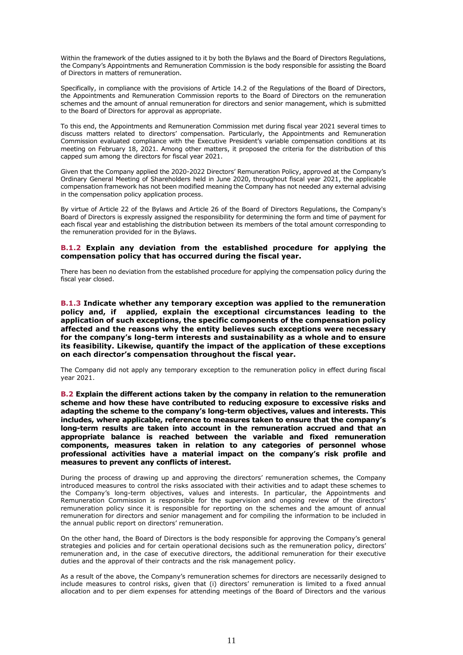Within the framework of the duties assigned to it by both the Bylaws and the Board of Directors Regulations, the Company's Appointments and Remuneration Commission is the body responsible for assisting the Board of Directors in matters of remuneration.

Specifically, in compliance with the provisions of Article 14.2 of the Regulations of the Board of Directors, the Appointments and Remuneration Commission reports to the Board of Directors on the remuneration schemes and the amount of annual remuneration for directors and senior management, which is submitted to the Board of Directors for approval as appropriate.

To this end, the Appointments and Remuneration Commission met during fiscal year 2021 several times to discuss matters related to directors' compensation. Particularly, the Appointments and Remuneration Commission evaluated compliance with the Executive President's variable compensation conditions at its meeting on February 18, 2021. Among other matters, it proposed the criteria for the distribution of this capped sum among the directors for fiscal year 2021.

Given that the Company applied the 2020-2022 Directors' Remuneration Policy, approved at the Company's Ordinary General Meeting of Shareholders held in June 2020, throughout fiscal year 2021, the applicable compensation framework has not been modified meaning the Company has not needed any external advising in the compensation policy application process.

By virtue of Article 22 of the Bylaws and Article 26 of the Board of Directors Regulations, the Company's Board of Directors is expressly assigned the responsibility for determining the form and time of payment for each fiscal year and establishing the distribution between its members of the total amount corresponding to the remuneration provided for in the Bylaws.

### **B.1.2 Explain any deviation from the established procedure for applying the compensation policy that has occurred during the fiscal year.**

There has been no deviation from the established procedure for applying the compensation policy during the fiscal year closed.

**B.1.3 Indicate whether any temporary exception was applied to the remuneration policy and, if applied, explain the exceptional circumstances leading to the application of such exceptions, the specific components of the compensation policy affected and the reasons why the entity believes such exceptions were necessary for the company's long-term interests and sustainability as a whole and to ensure its feasibility. Likewise, quantify the impact of the application of these exceptions on each director's compensation throughout the fiscal year.**

The Company did not apply any temporary exception to the remuneration policy in effect during fiscal year 2021.

**B.2 Explain the different actions taken by the company in relation to the remuneration scheme and how these have contributed to reducing exposure to excessive risks and adapting the scheme to the company's long-term objectives, values and interests. This includes, where applicable, reference to measures taken to ensure that the company's long-term results are taken into account in the remuneration accrued and that an appropriate balance is reached between the variable and fixed remuneration components, measures taken in relation to any categories of personnel whose professional activities have a material impact on the company's risk profile and measures to prevent any conflicts of interest.**

During the process of drawing up and approving the directors' remuneration schemes, the Company introduced measures to control the risks associated with their activities and to adapt these schemes to the Company's long-term objectives, values and interests. In particular, the Appointments and Remuneration Commission is responsible for the supervision and ongoing review of the directors' remuneration policy since it is responsible for reporting on the schemes and the amount of annual remuneration for directors and senior management and for compiling the information to be included in the annual public report on directors' remuneration.

On the other hand, the Board of Directors is the body responsible for approving the Company's general strategies and policies and for certain operational decisions such as the remuneration policy, directors' remuneration and, in the case of executive directors, the additional remuneration for their executive duties and the approval of their contracts and the risk management policy.

As a result of the above, the Company's remuneration schemes for directors are necessarily designed to include measures to control risks, given that (i) directors' remuneration is limited to a fixed annual allocation and to per diem expenses for attending meetings of the Board of Directors and the various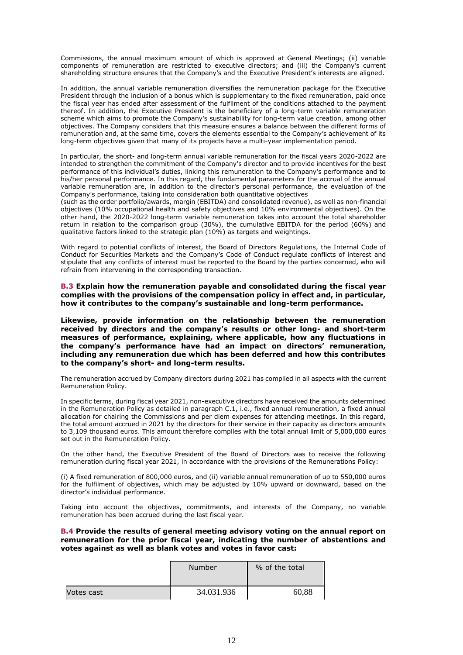Commissions, the annual maximum amount of which is approved at General Meetings; (ii) variable components of remuneration are restricted to executive directors; and (iii) the Company's current shareholding structure ensures that the Company's and the Executive President's interests are aligned.

In addition, the annual variable remuneration diversifies the remuneration package for the Executive President through the inclusion of a bonus which is supplementary to the fixed remuneration, paid once the fiscal year has ended after assessment of the fulfilment of the conditions attached to the payment thereof. In addition, the Executive President is the beneficiary of a long-term variable remuneration scheme which aims to promote the Company's sustainability for long-term value creation, among other objectives. The Company considers that this measure ensures a balance between the different forms of remuneration and, at the same time, covers the elements essential to the Company's achievement of its long-term objectives given that many of its projects have a multi-year implementation period.

In particular, the short- and long-term annual variable remuneration for the fiscal years 2020-2022 are intended to strengthen the commitment of the Company's director and to provide incentives for the best performance of this individual's duties, linking this remuneration to the Company's performance and to his/her personal performance. In this regard, the fundamental parameters for the accrual of the annual variable remuneration are, in addition to the director's personal performance, the evaluation of the Company's performance, taking into consideration both quantitative objectives

(such as the order portfolio/awards, margin (EBITDA) and consolidated revenue), as well as non-financial objectives (10% occupational health and safety objectives and 10% environmental objectives). On the other hand, the 2020-2022 long-term variable remuneration takes into account the total shareholder return in relation to the comparison group (30%), the cumulative EBITDA for the period (60%) and qualitative factors linked to the strategic plan (10%) as targets and weightings.

With regard to potential conflicts of interest, the Board of Directors Regulations, the Internal Code of Conduct for Securities Markets and the Company's Code of Conduct regulate conflicts of interest and stipulate that any conflicts of interest must be reported to the Board by the parties concerned, who will refrain from intervening in the corresponding transaction.

**B.3 Explain how the remuneration payable and consolidated during the fiscal year complies with the provisions of the compensation policy in effect and, in particular, how it contributes to the company's sustainable and long-term performance.**

**Likewise, provide information on the relationship between the remuneration received by directors and the company's results or other long- and short-term measures of performance, explaining, where applicable, how any fluctuations in the company's performance have had an impact on directors' remuneration, including any remuneration due which has been deferred and how this contributes to the company's short- and long-term results.**

The remuneration accrued by Company directors during 2021 has complied in all aspects with the current Remuneration Policy.

In specific terms, during fiscal year 2021, non-executive directors have received the amounts determined in the Remuneration Policy as detailed in paragraph C.1, i.e., fixed annual remuneration, a fixed annual allocation for chairing the Commissions and per diem expenses for attending meetings. In this regard, the total amount accrued in 2021 by the directors for their service in their capacity as directors amounts to 3,109 thousand euros. This amount therefore complies with the total annual limit of 5,000,000 euros set out in the Remuneration Policy.

On the other hand, the Executive President of the Board of Directors was to receive the following remuneration during fiscal year 2021, in accordance with the provisions of the Remunerations Policy:

(i) A fixed remuneration of 800,000 euros, and (ii) variable annual remuneration of up to 550,000 euros for the fulfilment of objectives, which may be adjusted by 10% upward or downward, based on the director's individual performance.

Taking into account the objectives, commitments, and interests of the Company, no variable remuneration has been accrued during the last fiscal year.

# **B.4 Provide the results of general meeting advisory voting on the annual report on remuneration for the prior fiscal year, indicating the number of abstentions and votes against as well as blank votes and votes in favor cast:**

|            | Number     | % of the total |
|------------|------------|----------------|
| Votes cast | 34.031.936 | 60,88          |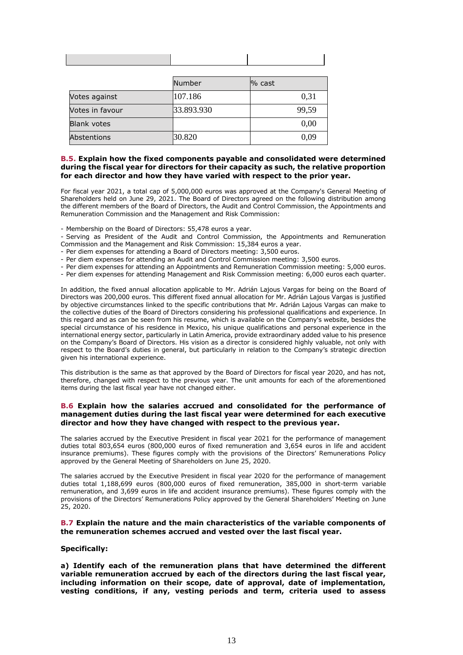|                    | Number     | $%$ cast |
|--------------------|------------|----------|
| Votes against      | 107.186    | 0,31     |
| Votes in favour    | 33.893.930 | 99,59    |
| <b>Blank votes</b> |            | 0,00     |
| Abstentions        | 30.820     | 0,09     |

## **B.5. Explain how the fixed components payable and consolidated were determined during the fiscal year for directors for their capacity as such, the relative proportion for each director and how they have varied with respect to the prior year.**

For fiscal year 2021, a total cap of 5,000,000 euros was approved at the Company's General Meeting of Shareholders held on June 29, 2021. The Board of Directors agreed on the following distribution among the different members of the Board of Directors, the Audit and Control Commission, the Appointments and Remuneration Commission and the Management and Risk Commission:

- Membership on the Board of Directors: 55,478 euros a year.

- Serving as President of the Audit and Control Commission, the Appointments and Remuneration Commission and the Management and Risk Commission: 15,384 euros a year.
- Per diem expenses for attending a Board of Directors meeting: 3,500 euros.
- Per diem expenses for attending an Audit and Control Commission meeting: 3,500 euros.
- Per diem expenses for attending an Appointments and Remuneration Commission meeting: 5,000 euros.
- Per diem expenses for attending Management and Risk Commission meeting: 6,000 euros each quarter.

In addition, the fixed annual allocation applicable to Mr. Adrián Lajous Vargas for being on the Board of Directors was 200,000 euros. This different fixed annual allocation for Mr. Adrián Lajous Vargas is justified by objective circumstances linked to the specific contributions that Mr. Adrián Lajous Vargas can make to the collective duties of the Board of Directors considering his professional qualifications and experience. In this regard and as can be seen from his resume, which is available on the Company's website, besides the special circumstance of his residence in Mexico, his unique qualifications and personal experience in the international energy sector, particularly in Latin America, provide extraordinary added value to his presence on the Company's Board of Directors. His vision as a director is considered highly valuable, not only with respect to the Board's duties in general, but particularly in relation to the Company's strategic direction given his international experience.

This distribution is the same as that approved by the Board of Directors for fiscal year 2020, and has not, therefore, changed with respect to the previous year. The unit amounts for each of the aforementioned items during the last fiscal year have not changed either.

### **B.6 Explain how the salaries accrued and consolidated for the performance of management duties during the last fiscal year were determined for each executive director and how they have changed with respect to the previous year.**

The salaries accrued by the Executive President in fiscal year 2021 for the performance of management duties total 803,654 euros (800,000 euros of fixed remuneration and 3,654 euros in life and accident insurance premiums). These figures comply with the provisions of the Directors' Remunerations Policy approved by the General Meeting of Shareholders on June 25, 2020.

The salaries accrued by the Executive President in fiscal year 2020 for the performance of management duties total 1,188,699 euros (800,000 euros of fixed remuneration, 385,000 in short-term variable remuneration, and 3,699 euros in life and accident insurance premiums). These figures comply with the provisions of the Directors' Remunerations Policy approved by the General Shareholders' Meeting on June 25, 2020.

### **B.7 Explain the nature and the main characteristics of the variable components of the remuneration schemes accrued and vested over the last fiscal year.**

# **Specifically:**

**a) Identify each of the remuneration plans that have determined the different variable remuneration accrued by each of the directors during the last fiscal year, including information on their scope, date of approval, date of implementation, vesting conditions, if any, vesting periods and term, criteria used to assess**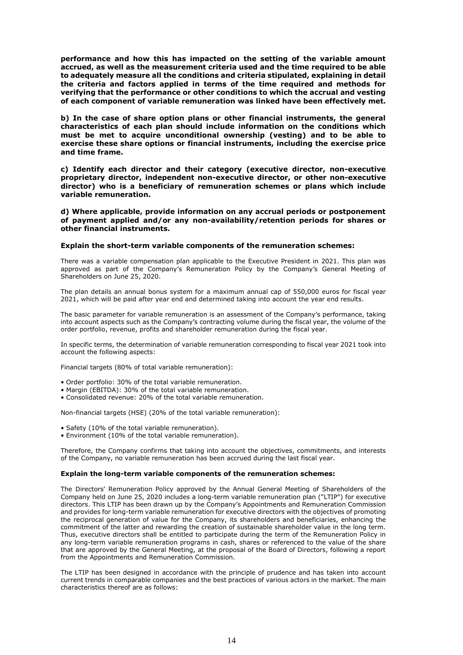**performance and how this has impacted on the setting of the variable amount accrued, as well as the measurement criteria used and the time required to be able to adequately measure all the conditions and criteria stipulated, explaining in detail the criteria and factors applied in terms of the time required and methods for verifying that the performance or other conditions to which the accrual and vesting of each component of variable remuneration was linked have been effectively met.** 

**b) In the case of share option plans or other financial instruments, the general characteristics of each plan should include information on the conditions which must be met to acquire unconditional ownership (vesting) and to be able to exercise these share options or financial instruments, including the exercise price and time frame.** 

**c) Identify each director and their category (executive director, non-executive proprietary director, independent non-executive director, or other non-executive director) who is a beneficiary of remuneration schemes or plans which include variable remuneration.** 

**d) Where applicable, provide information on any accrual periods or postponement of payment applied and/or any non-availability/retention periods for shares or other financial instruments.** 

#### **Explain the short-term variable components of the remuneration schemes:**

There was a variable compensation plan applicable to the Executive President in 2021. This plan was approved as part of the Company's Remuneration Policy by the Company's General Meeting of Shareholders on June 25, 2020.

The plan details an annual bonus system for a maximum annual cap of 550,000 euros for fiscal year 2021, which will be paid after year end and determined taking into account the year end results.

The basic parameter for variable remuneration is an assessment of the Company's performance, taking into account aspects such as the Company's contracting volume during the fiscal year, the volume of the order portfolio, revenue, profits and shareholder remuneration during the fiscal year.

In specific terms, the determination of variable remuneration corresponding to fiscal year 2021 took into account the following aspects:

Financial targets (80% of total variable remuneration):

- Order portfolio: 30% of the total variable remuneration.
- Margin (EBITDA): 30% of the total variable remuneration.
- Consolidated revenue: 20% of the total variable remuneration.

Non-financial targets (HSE) (20% of the total variable remuneration):

- Safety (10% of the total variable remuneration).
- Environment (10% of the total variable remuneration).

Therefore, the Company confirms that taking into account the objectives, commitments, and interests of the Company, no variable remuneration has been accrued during the last fiscal year.

#### **Explain the long-term variable components of the remuneration schemes:**

The Directors' Remuneration Policy approved by the Annual General Meeting of Shareholders of the Company held on June 25, 2020 includes a long-term variable remuneration plan ("LTIP") for executive directors. This LTIP has been drawn up by the Company's Appointments and Remuneration Commission and provides for long-term variable remuneration for executive directors with the objectives of promoting the reciprocal generation of value for the Company, its shareholders and beneficiaries, enhancing the commitment of the latter and rewarding the creation of sustainable shareholder value in the long term. Thus, executive directors shall be entitled to participate during the term of the Remuneration Policy in any long-term variable remuneration programs in cash, shares or referenced to the value of the share that are approved by the General Meeting, at the proposal of the Board of Directors, following a report from the Appointments and Remuneration Commission.

The LTIP has been designed in accordance with the principle of prudence and has taken into account current trends in comparable companies and the best practices of various actors in the market. The main characteristics thereof are as follows: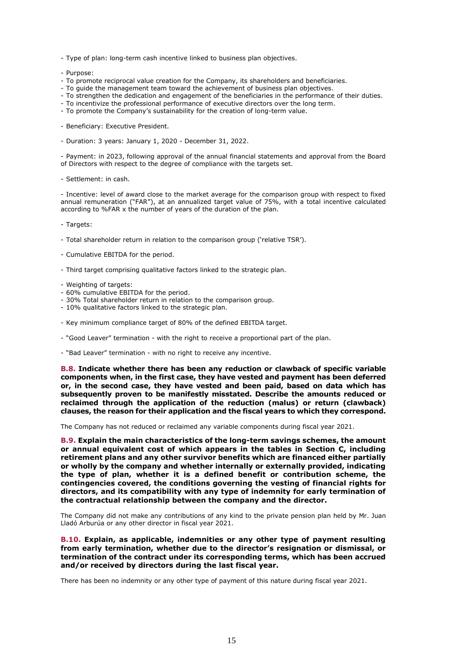- Type of plan: long-term cash incentive linked to business plan objectives.
- Purpose:
- To promote reciprocal value creation for the Company, its shareholders and beneficiaries.
- To guide the management team toward the achievement of business plan objectives.
- To strengthen the dedication and engagement of the beneficiaries in the performance of their duties.
- To incentivize the professional performance of executive directors over the long term.
- To promote the Company's sustainability for the creation of long-term value.
- Beneficiary: Executive President.
- Duration: 3 years: January 1, 2020 December 31, 2022.

- Payment: in 2023, following approval of the annual financial statements and approval from the Board of Directors with respect to the degree of compliance with the targets set.

- Settlement: in cash.

- Incentive: level of award close to the market average for the comparison group with respect to fixed annual remuneration ("FAR"), at an annualized target value of 75%, with a total incentive calculated according to %FAR x the number of years of the duration of the plan.

- Targets:

- Total shareholder return in relation to the comparison group ('relative TSR').
- Cumulative EBITDA for the period.
- Third target comprising qualitative factors linked to the strategic plan.
- Weighting of targets:
- 60% cumulative EBITDA for the period.
- 30% Total shareholder return in relation to the comparison group.
- 10% qualitative factors linked to the strategic plan.
- Key minimum compliance target of 80% of the defined EBITDA target.
- "Good Leaver" termination with the right to receive a proportional part of the plan.
- "Bad Leaver" termination with no right to receive any incentive.

**B.8. Indicate whether there has been any reduction or clawback of specific variable components when, in the first case, they have vested and payment has been deferred or, in the second case, they have vested and been paid, based on data which has subsequently proven to be manifestly misstated. Describe the amounts reduced or reclaimed through the application of the reduction (malus) or return (clawback) clauses, the reason for their application and the fiscal years to which they correspond.**

The Company has not reduced or reclaimed any variable components during fiscal year 2021.

**B.9. Explain the main characteristics of the long-term savings schemes, the amount or annual equivalent cost of which appears in the tables in Section C, including retirement plans and any other survivor benefits which are financed either partially or wholly by the company and whether internally or externally provided, indicating the type of plan, whether it is a defined benefit or contribution scheme, the contingencies covered, the conditions governing the vesting of financial rights for directors, and its compatibility with any type of indemnity for early termination of the contractual relationship between the company and the director.**

The Company did not make any contributions of any kind to the private pension plan held by Mr. Juan Lladó Arburúa or any other director in fiscal year 2021.

**B.10. Explain, as applicable, indemnities or any other type of payment resulting from early termination, whether due to the director's resignation or dismissal, or termination of the contract under its corresponding terms, which has been accrued and/or received by directors during the last fiscal year.**

There has been no indemnity or any other type of payment of this nature during fiscal year 2021.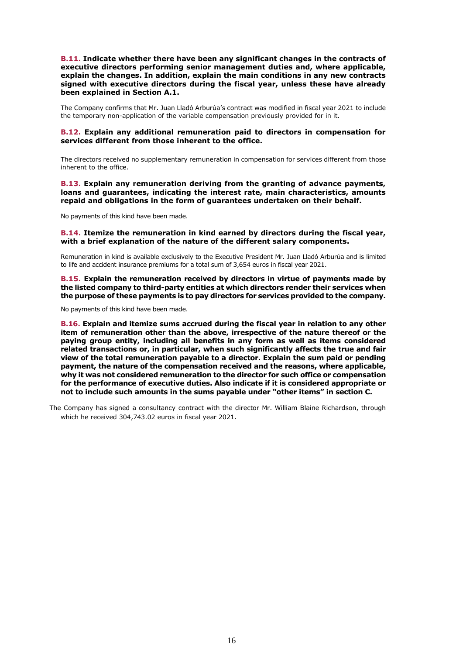**B.11. Indicate whether there have been any significant changes in the contracts of executive directors performing senior management duties and, where applicable, explain the changes. In addition, explain the main conditions in any new contracts signed with executive directors during the fiscal year, unless these have already been explained in Section A.1.**

The Company confirms that Mr. Juan Lladó Arburúa's contract was modified in fiscal year 2021 to include the temporary non-application of the variable compensation previously provided for in it.

## **B.12. Explain any additional remuneration paid to directors in compensation for services different from those inherent to the office.**

The directors received no supplementary remuneration in compensation for services different from those inherent to the office.

**B.13. Explain any remuneration deriving from the granting of advance payments, loans and guarantees, indicating the interest rate, main characteristics, amounts repaid and obligations in the form of guarantees undertaken on their behalf.**

No payments of this kind have been made.

### **B.14. Itemize the remuneration in kind earned by directors during the fiscal year, with a brief explanation of the nature of the different salary components.**

Remuneration in kind is available exclusively to the Executive President Mr. Juan Lladó Arburúa and is limited to life and accident insurance premiums for a total sum of 3,654 euros in fiscal year 2021.

**B.15. Explain the remuneration received by directors in virtue of payments made by the listed company to third-party entities at which directors render their services when the purpose of these payments is to pay directors for services provided to the company.**

No payments of this kind have been made.

**B.16. Explain and itemize sums accrued during the fiscal year in relation to any other item of remuneration other than the above, irrespective of the nature thereof or the paying group entity, including all benefits in any form as well as items considered related transactions or, in particular, when such significantly affects the true and fair view of the total remuneration payable to a director. Explain the sum paid or pending payment, the nature of the compensation received and the reasons, where applicable, why it was not considered remuneration to the director for such office or compensation for the performance of executive duties. Also indicate if it is considered appropriate or not to include such amounts in the sums payable under "other items" in section C.**

The Company has signed a consultancy contract with the director Mr. William Blaine Richardson, through which he received 304,743.02 euros in fiscal year 2021.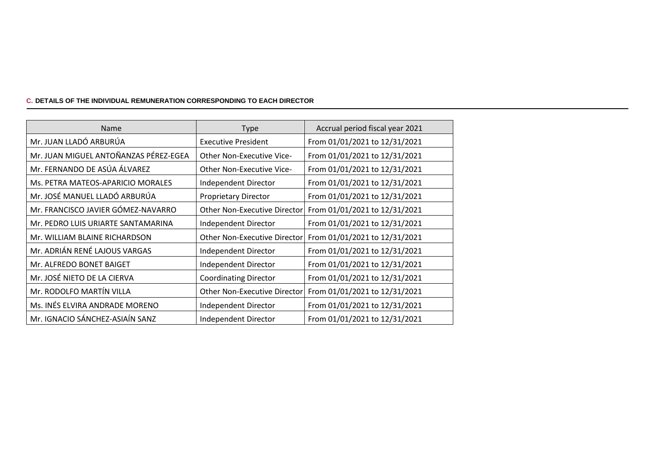# **C. DETAILS OF THE INDIVIDUAL REMUNERATION CORRESPONDING TO EACH DIRECTOR**

| <b>Name</b>                           | <b>Type</b>                         | Accrual period fiscal year 2021 |
|---------------------------------------|-------------------------------------|---------------------------------|
| Mr. JUAN LLADÓ ARBURÚA                | <b>Executive President</b>          | From 01/01/2021 to 12/31/2021   |
| Mr. JUAN MIGUEL ANTOÑANZAS PÉREZ-EGEA | Other Non-Executive Vice-           | From 01/01/2021 to 12/31/2021   |
| Mr. FERNANDO DE ASÚA ÁLVAREZ          | <b>Other Non-Executive Vice-</b>    | From 01/01/2021 to 12/31/2021   |
| Ms. PETRA MATEOS-APARICIO MORALES     | Independent Director                | From 01/01/2021 to 12/31/2021   |
| Mr. JOSÉ MANUEL LLADÓ ARBURÚA         | <b>Proprietary Director</b>         | From 01/01/2021 to 12/31/2021   |
| Mr. FRANCISCO JAVIER GÓMEZ-NAVARRO    | <b>Other Non-Executive Director</b> | From 01/01/2021 to 12/31/2021   |
| Mr. PEDRO LUIS URIARTE SANTAMARINA    | Independent Director                | From 01/01/2021 to 12/31/2021   |
| Mr. WILLIAM BLAINE RICHARDSON         | Other Non-Executive Director        | From 01/01/2021 to 12/31/2021   |
| Mr. ADRIÁN RENÉ LAJOUS VARGAS         | Independent Director                | From 01/01/2021 to 12/31/2021   |
| Mr. ALFREDO BONET BAIGET              | Independent Director                | From 01/01/2021 to 12/31/2021   |
| Mr. JOSÉ NIETO DE LA CIERVA           | <b>Coordinating Director</b>        | From 01/01/2021 to 12/31/2021   |
| Mr. RODOLFO MARTÍN VILLA              | <b>Other Non-Executive Director</b> | From 01/01/2021 to 12/31/2021   |
| Ms. INÉS ELVIRA ANDRADE MORENO        | Independent Director                | From 01/01/2021 to 12/31/2021   |
| Mr. IGNACIO SÁNCHEZ-ASIAÍN SANZ       | Independent Director                | From 01/01/2021 to 12/31/2021   |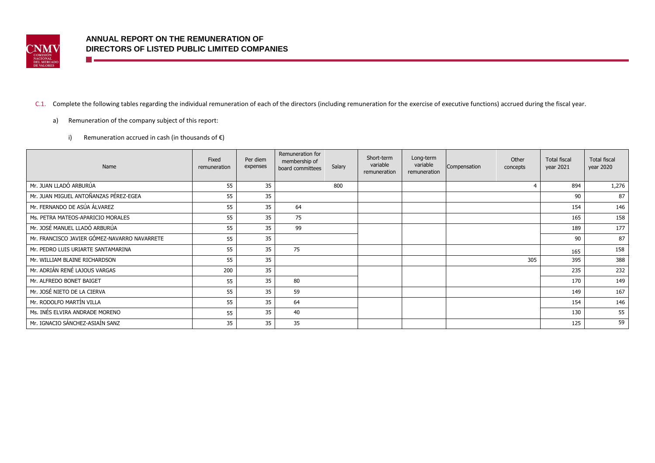

n e

# C.1. Complete the following tables regarding the individual remuneration of each of the directors (including remuneration for the exercise of executive functions) accrued during the fiscal year.

- a) Remuneration of the company subject of this report:
	- i) Remuneration accrued in cash (in thousands of  $\epsilon$ )

| Name                                         | Fixed<br>remuneration | Per diem<br>expenses | Remuneration for<br>membership of<br>board committees | Salary | Short-term<br>variable<br>remuneration | Long-term<br>variable<br>remuneration | Compensation | Other<br>concepts | <b>Total fiscal</b><br>year 2021 | <b>Total fiscal</b><br>year 2020 |
|----------------------------------------------|-----------------------|----------------------|-------------------------------------------------------|--------|----------------------------------------|---------------------------------------|--------------|-------------------|----------------------------------|----------------------------------|
| Mr. JUAN LLADÓ ARBURÚA                       | 55                    | 35                   |                                                       | 800    |                                        |                                       |              |                   | 894                              | 1,276                            |
| Mr. JUAN MIGUEL ANTOÑANZAS PÉREZ-EGEA        | 55                    | 35                   |                                                       |        |                                        |                                       |              |                   | 90                               | 87                               |
| Mr. FERNANDO DE ASÚA ÁLVAREZ                 | 55                    | 35                   | 64                                                    |        |                                        |                                       |              |                   | 154                              | 146                              |
| Ms. PETRA MATEOS-APARICIO MORALES            | 55                    | 35                   | 75                                                    |        |                                        |                                       |              |                   | 165                              | 158                              |
| Mr. JOSÉ MANUEL LLADÓ ARBURÚA                | 55                    | 35                   | 99                                                    |        |                                        |                                       |              |                   | 189                              | 177                              |
| Mr. FRANCISCO JAVIER GÓMEZ-NAVARRO NAVARRETE | 55                    | 35                   |                                                       |        |                                        |                                       |              |                   | 90                               | 87                               |
| Mr. PEDRO LUIS URIARTE SANTAMARINA           | 55                    | 35                   | 75                                                    |        |                                        |                                       |              |                   | 165                              | 158                              |
| Mr. WILLIAM BLAINE RICHARDSON                | 55                    | 35                   |                                                       |        |                                        |                                       |              | 305               | 395                              | 388                              |
| Mr. ADRIÁN RENÉ LAJOUS VARGAS                | 200                   | 35                   |                                                       |        |                                        |                                       |              |                   | 235                              | 232                              |
| Mr. ALFREDO BONET BAIGET                     | 55                    | 35                   | 80                                                    |        |                                        |                                       |              |                   | 170                              | 149                              |
| Mr. JOSÉ NIETO DE LA CIERVA                  | 55                    | 35                   | 59                                                    |        |                                        |                                       |              |                   | 149                              | 167                              |
| Mr. RODOLFO MARTÍN VILLA                     | 55                    | 35                   | 64                                                    |        |                                        |                                       |              |                   | 154                              | 146                              |
| Ms. INÉS ELVIRA ANDRADE MORENO               | 55                    | 35                   | 40                                                    |        |                                        |                                       |              |                   | 130                              | 55                               |
| Mr. IGNACIO SÁNCHEZ-ASIAÍN SANZ              | 35                    | 35                   | 35                                                    |        |                                        |                                       |              |                   | 125                              | 59                               |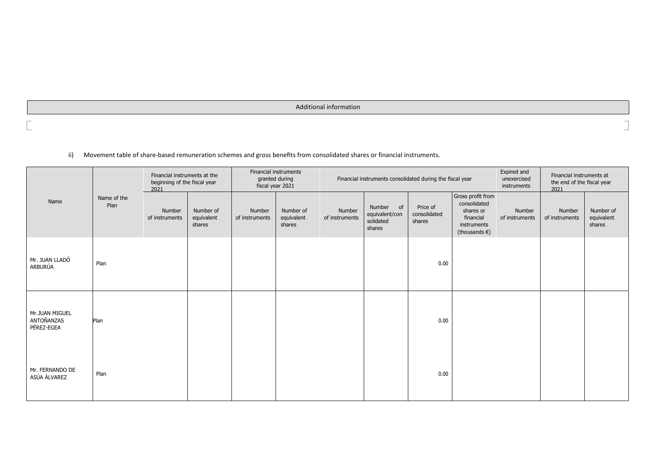Additional information

ii) Movement table of share-based remuneration schemes and gross benefits from consolidated shares or financial instruments.

|                                            | Name of the<br>Plan | Financial instruments at the<br>beginning of the fiscal year<br>2021 |                                   | Financial instruments<br>granted during<br>fiscal year 2021 |                                   |                          | Financial instruments consolidated during the fiscal year |                                    |                                                                                                       | Expired and<br>unexercised<br>instruments | Financial instruments at<br>the end of the fiscal year<br>2021 |                                   |
|--------------------------------------------|---------------------|----------------------------------------------------------------------|-----------------------------------|-------------------------------------------------------------|-----------------------------------|--------------------------|-----------------------------------------------------------|------------------------------------|-------------------------------------------------------------------------------------------------------|-------------------------------------------|----------------------------------------------------------------|-----------------------------------|
| Name                                       |                     | Number<br>of instruments                                             | Number of<br>equivalent<br>shares | Number<br>of instruments                                    | Number of<br>equivalent<br>shares | Number<br>of instruments | Number<br>of<br>equivalent/con<br>solidated<br>shares     | Price of<br>consolidated<br>shares | Gross profit from<br>consolidated<br>shares or<br>financial<br>instruments<br>(thousands $\epsilon$ ) | Number<br>of instruments                  | Number<br>of instruments                                       | Number of<br>equivalent<br>shares |
| Mr. JUAN LLADÓ<br>ARBURÚA                  | Plan                |                                                                      |                                   |                                                             |                                   |                          |                                                           | 0.00                               |                                                                                                       |                                           |                                                                |                                   |
| Mr.JUAN MIGUEL<br>ANTOÑANZAS<br>PÉREZ-EGEA | Plan                |                                                                      |                                   |                                                             |                                   |                          |                                                           | 0.00                               |                                                                                                       |                                           |                                                                |                                   |
| Mr. FERNANDO DE<br>ASÚA ÁLVAREZ            | Plan                |                                                                      |                                   |                                                             |                                   |                          |                                                           | 0.00                               |                                                                                                       |                                           |                                                                |                                   |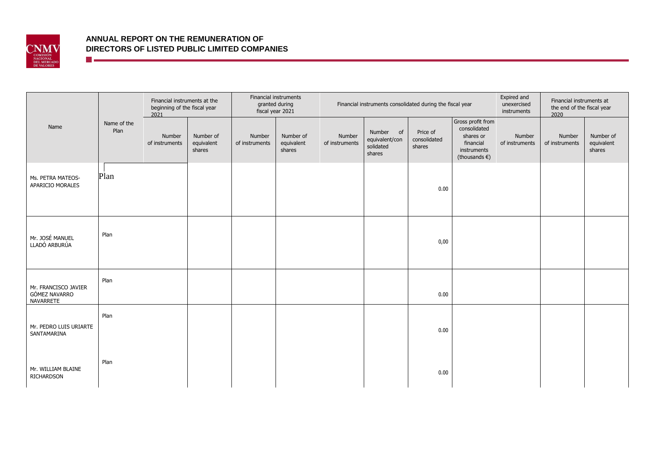

**The Communication** 

|                                                    |                     | beginning of the fiscal year<br>2021 | Financial instruments<br>Financial instruments at the<br>granted during<br>fiscal year 2021 |                          | Financial instruments consolidated during the fiscal year |                          |                                                       |                                    | Expired and<br>unexercised<br>instruments                                                             | Financial instruments at<br>the end of the fiscal year<br>2020 |                          |                                   |
|----------------------------------------------------|---------------------|--------------------------------------|---------------------------------------------------------------------------------------------|--------------------------|-----------------------------------------------------------|--------------------------|-------------------------------------------------------|------------------------------------|-------------------------------------------------------------------------------------------------------|----------------------------------------------------------------|--------------------------|-----------------------------------|
| Name                                               | Name of the<br>Plan | Number<br>of instruments             | Number of<br>equivalent<br>shares                                                           | Number<br>of instruments | Number of<br>equivalent<br>shares                         | Number<br>of instruments | Number<br>of<br>equivalent/con<br>solidated<br>shares | Price of<br>consolidated<br>shares | Gross profit from<br>consolidated<br>shares or<br>financial<br>instruments<br>(thousands $\epsilon$ ) | Number<br>of instruments                                       | Number<br>of instruments | Number of<br>equivalent<br>shares |
| Ms. PETRA MATEOS-<br>APARICIO MORALES              | Plan                |                                      |                                                                                             |                          |                                                           |                          |                                                       | 0.00                               |                                                                                                       |                                                                |                          |                                   |
| Mr. JOSÉ MANUEL<br>LLADÓ ARBURÚA                   | Plan                |                                      |                                                                                             |                          |                                                           |                          |                                                       | 0,00                               |                                                                                                       |                                                                |                          |                                   |
| Mr. FRANCISCO JAVIER<br>GÓMEZ NAVARRO<br>NAVARRETE | Plan                |                                      |                                                                                             |                          |                                                           |                          |                                                       | 0.00                               |                                                                                                       |                                                                |                          |                                   |
| Mr. PEDRO LUIS URIARTE<br>SANTAMARINA              | Plan                |                                      |                                                                                             |                          |                                                           |                          |                                                       | 0.00                               |                                                                                                       |                                                                |                          |                                   |
| Mr. WILLIAM BLAINE<br>RICHARDSON                   | Plan                |                                      |                                                                                             |                          |                                                           |                          |                                                       | 0.00                               |                                                                                                       |                                                                |                          |                                   |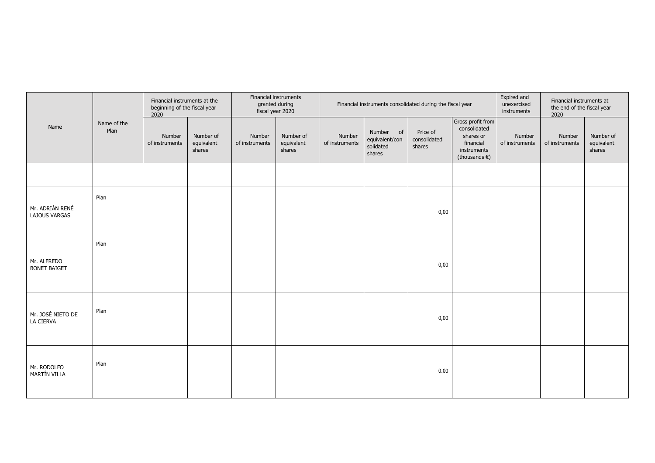|                                         |                     | Financial instruments at the<br>beginning of the fiscal year<br>2020 |                                   |                          | Financial instruments<br>granted during<br>fiscal year 2020 |                          | Financial instruments consolidated during the fiscal year |                                    |                                                                                                       |                          | Financial instruments at<br>the end of the fiscal year<br>2020 |                                   |
|-----------------------------------------|---------------------|----------------------------------------------------------------------|-----------------------------------|--------------------------|-------------------------------------------------------------|--------------------------|-----------------------------------------------------------|------------------------------------|-------------------------------------------------------------------------------------------------------|--------------------------|----------------------------------------------------------------|-----------------------------------|
| Name                                    | Name of the<br>Plan | Number<br>of instruments                                             | Number of<br>equivalent<br>shares | Number<br>of instruments | Number of<br>equivalent<br>shares                           | Number<br>of instruments | Number of<br>equivalent/con<br>solidated<br>shares        | Price of<br>consolidated<br>shares | Gross profit from<br>consolidated<br>shares or<br>financial<br>instruments<br>(thousands $\epsilon$ ) | Number<br>of instruments | Number<br>of instruments                                       | Number of<br>equivalent<br>shares |
|                                         |                     |                                                                      |                                   |                          |                                                             |                          |                                                           |                                    |                                                                                                       |                          |                                                                |                                   |
| Mr. ADRIÁN RENÉ<br><b>LAJOUS VARGAS</b> | Plan                |                                                                      |                                   |                          |                                                             |                          |                                                           | 0,00                               |                                                                                                       |                          |                                                                |                                   |
| Mr. ALFREDO<br><b>BONET BAIGET</b>      | Plan                |                                                                      |                                   |                          |                                                             |                          |                                                           | 0,00                               |                                                                                                       |                          |                                                                |                                   |
| Mr. JOSÉ NIETO DE<br>LA CIERVA          | Plan                |                                                                      |                                   |                          |                                                             |                          |                                                           | 0,00                               |                                                                                                       |                          |                                                                |                                   |
| Mr. RODOLFO<br>MARTÍN VILLA             | Plan                |                                                                      |                                   |                          |                                                             |                          |                                                           | 0.00                               |                                                                                                       |                          |                                                                |                                   |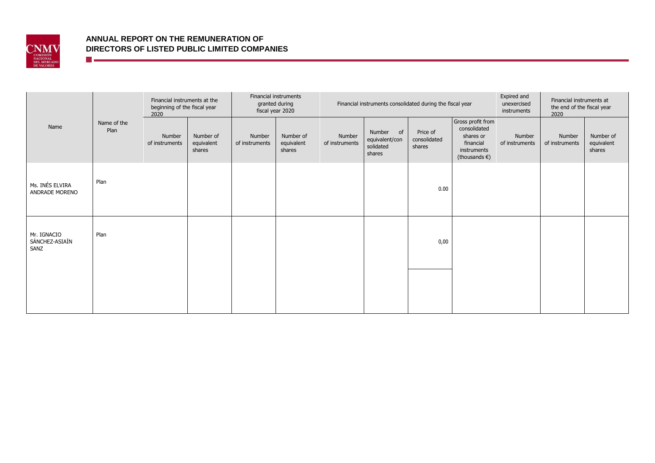

**The contract of the contract of the contract** 

|                                       | Name of the<br>Plan | Financial instruments at the<br>beginning of the fiscal year<br>2020 |                                   | Financial instruments<br>granted during<br>fiscal year 2020 |                                   | Financial instruments consolidated during the fiscal year |                                                    |                                    |                                                                                                       | Expired and<br>unexercised<br>instruments | Financial instruments at<br>the end of the fiscal year<br>2020 |                                   |
|---------------------------------------|---------------------|----------------------------------------------------------------------|-----------------------------------|-------------------------------------------------------------|-----------------------------------|-----------------------------------------------------------|----------------------------------------------------|------------------------------------|-------------------------------------------------------------------------------------------------------|-------------------------------------------|----------------------------------------------------------------|-----------------------------------|
| Name                                  |                     | Number<br>of instruments                                             | Number of<br>equivalent<br>shares | Number<br>of instruments                                    | Number of<br>equivalent<br>shares | Number<br>of instruments                                  | Number of<br>equivalent/con<br>solidated<br>shares | Price of<br>consolidated<br>shares | Gross profit from<br>consolidated<br>shares or<br>financial<br>instruments<br>(thousands $\epsilon$ ) | Number<br>of instruments                  | Number<br>of instruments                                       | Number of<br>equivalent<br>shares |
| Ms. INÉS ELVIRA<br>ANDRADE MORENO     | Plan                |                                                                      |                                   |                                                             |                                   |                                                           |                                                    | 0.00                               |                                                                                                       |                                           |                                                                |                                   |
| Mr. IGNACIO<br>SÁNCHEZ-ASIAÍN<br>SANZ | Plan                |                                                                      |                                   |                                                             |                                   |                                                           |                                                    | 0,00                               |                                                                                                       |                                           |                                                                |                                   |
|                                       |                     |                                                                      |                                   |                                                             |                                   |                                                           |                                                    |                                    |                                                                                                       |                                           |                                                                |                                   |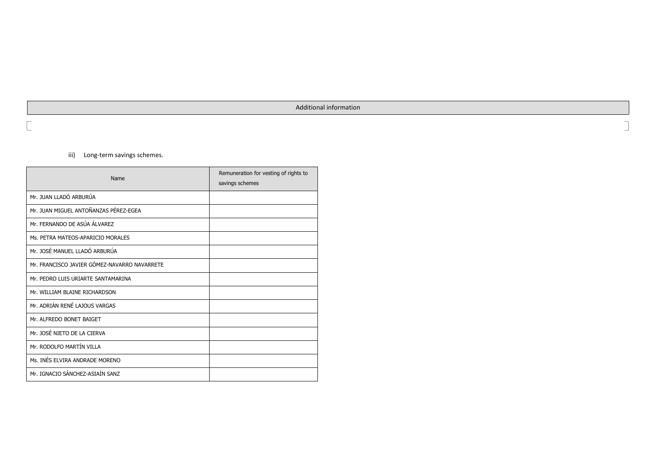### Additional information

٦

iii) Long-term savings schemes.

| Name                                         | Remuneration for vesting of rights to<br>savings schemes |
|----------------------------------------------|----------------------------------------------------------|
| Mr. JUAN I LADÓ ARBURÚA                      |                                                          |
| Mr. JUAN MIGUEL ANTOÑANZAS PÉREZ-EGEA        |                                                          |
| Mr. FERNANDO DE ASÚA ÁLVAREZ                 |                                                          |
| Ms. PETRA MATEOS-APARICIO MORALES            |                                                          |
| Mr. JOSÉ MANUEL LLADÓ ARBURÚA                |                                                          |
| Mr. FRANCISCO JAVIER GÓMEZ-NAVARRO NAVARRETE |                                                          |
| Mr. PEDRO LUIS URIARTE SANTAMARINA           |                                                          |
| Mr. WILLIAM BLAINE RICHARDSON                |                                                          |
| Mr. ADRIÁN RENÉ LAJOUS VARGAS                |                                                          |
| Mr. ALFREDO BONET BAIGET                     |                                                          |
| Mr. JOSÉ NIETO DE LA CIERVA                  |                                                          |
| Mr. RODOLFO MARTÍN VILLA                     |                                                          |
| Ms. INÉS ELVIRA ANDRADE MORENO               |                                                          |
| Mr. IGNACIO SÁNCHEZ-ASIAÍN SANZ              |                                                          |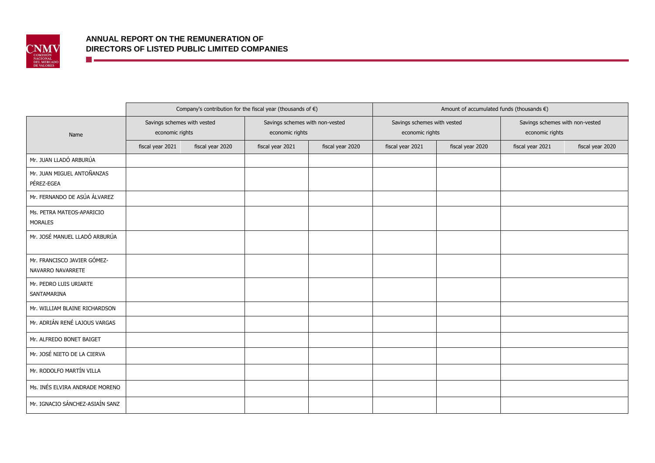

<u> Timber a San A</u>

|                                                  |                                                |                  | Company's contribution for the fiscal year (thousands of $\epsilon$ ) |                  | Amount of accumulated funds (thousands $\epsilon$ ) |                  |                                                    |                  |  |  |
|--------------------------------------------------|------------------------------------------------|------------------|-----------------------------------------------------------------------|------------------|-----------------------------------------------------|------------------|----------------------------------------------------|------------------|--|--|
| Name                                             | Savings schemes with vested<br>economic rights |                  | Savings schemes with non-vested<br>economic rights                    |                  | Savings schemes with vested<br>economic rights      |                  | Savings schemes with non-vested<br>economic rights |                  |  |  |
|                                                  | fiscal year 2021                               | fiscal year 2020 | fiscal year 2021                                                      | fiscal year 2020 | fiscal year 2021                                    | fiscal year 2020 | fiscal year 2021                                   | fiscal year 2020 |  |  |
| Mr. JUAN LLADÓ ARBURÚA                           |                                                |                  |                                                                       |                  |                                                     |                  |                                                    |                  |  |  |
| Mr. JUAN MIGUEL ANTOÑANZAS<br>PÉREZ-EGEA         |                                                |                  |                                                                       |                  |                                                     |                  |                                                    |                  |  |  |
| Mr. FERNANDO DE ASÚA ÁLVAREZ                     |                                                |                  |                                                                       |                  |                                                     |                  |                                                    |                  |  |  |
| Ms. PETRA MATEOS-APARICIO<br><b>MORALES</b>      |                                                |                  |                                                                       |                  |                                                     |                  |                                                    |                  |  |  |
| Mr. JOSÉ MANUEL LLADÓ ARBURÚA                    |                                                |                  |                                                                       |                  |                                                     |                  |                                                    |                  |  |  |
| Mr. FRANCISCO JAVIER GÓMEZ-<br>NAVARRO NAVARRETE |                                                |                  |                                                                       |                  |                                                     |                  |                                                    |                  |  |  |
| Mr. PEDRO LUIS URIARTE<br>SANTAMARINA            |                                                |                  |                                                                       |                  |                                                     |                  |                                                    |                  |  |  |
| Mr. WILLIAM BLAINE RICHARDSON                    |                                                |                  |                                                                       |                  |                                                     |                  |                                                    |                  |  |  |
| Mr. ADRIÁN RENÉ LAJOUS VARGAS                    |                                                |                  |                                                                       |                  |                                                     |                  |                                                    |                  |  |  |
| Mr. ALFREDO BONET BAIGET                         |                                                |                  |                                                                       |                  |                                                     |                  |                                                    |                  |  |  |
| Mr. JOSÉ NIETO DE LA CIERVA                      |                                                |                  |                                                                       |                  |                                                     |                  |                                                    |                  |  |  |
| Mr. RODOLFO MARTÍN VILLA                         |                                                |                  |                                                                       |                  |                                                     |                  |                                                    |                  |  |  |
| Ms. INÉS ELVIRA ANDRADE MORENO                   |                                                |                  |                                                                       |                  |                                                     |                  |                                                    |                  |  |  |
| Mr. IGNACIO SÁNCHEZ-ASIAÍN SANZ                  |                                                |                  |                                                                       |                  |                                                     |                  |                                                    |                  |  |  |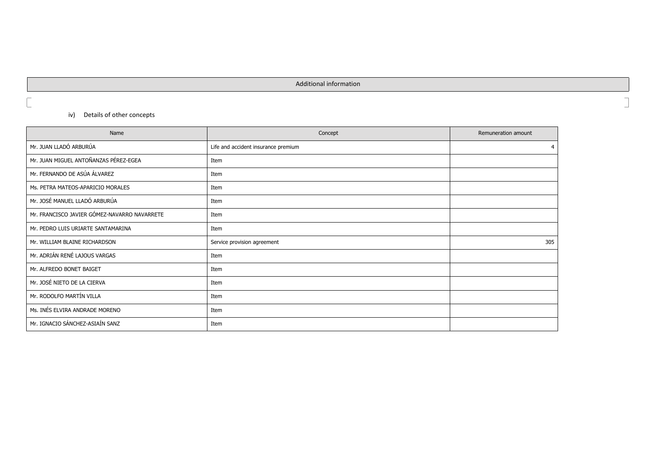Additional information

 $\Box$ 

 $\overline{\mathbb{L}}$ 

# iv) Details of other concepts

| Name                                         | Concept                             | Remuneration amount |
|----------------------------------------------|-------------------------------------|---------------------|
| Mr. JUAN LLADÓ ARBURÚA                       | Life and accident insurance premium |                     |
| Mr. JUAN MIGUEL ANTOÑANZAS PÉREZ-EGEA        | Item                                |                     |
| Mr. FERNANDO DE ASÚA ÁLVAREZ                 | Item                                |                     |
| Ms. PETRA MATEOS-APARICIO MORALES            | Item                                |                     |
| Mr. JOSÉ MANUEL LLADÓ ARBURÚA                | Item                                |                     |
| Mr. FRANCISCO JAVIER GÓMEZ-NAVARRO NAVARRETE | Item                                |                     |
| Mr. PEDRO LUIS URIARTE SANTAMARINA           | Item                                |                     |
| Mr. WILLIAM BLAINE RICHARDSON                | Service provision agreement         | 305                 |
| Mr. ADRIÁN RENÉ LAJOUS VARGAS                | Item                                |                     |
| Mr. ALFREDO BONET BAIGET                     | Item                                |                     |
| Mr. JOSÉ NIETO DE LA CIERVA                  | Item                                |                     |
| Mr. RODOLFO MARTÍN VILLA                     | Item                                |                     |
| Ms. INÉS ELVIRA ANDRADE MORENO               | Item                                |                     |
| Mr. IGNACIO SÁNCHEZ-ASIAÍN SANZ              | Item                                |                     |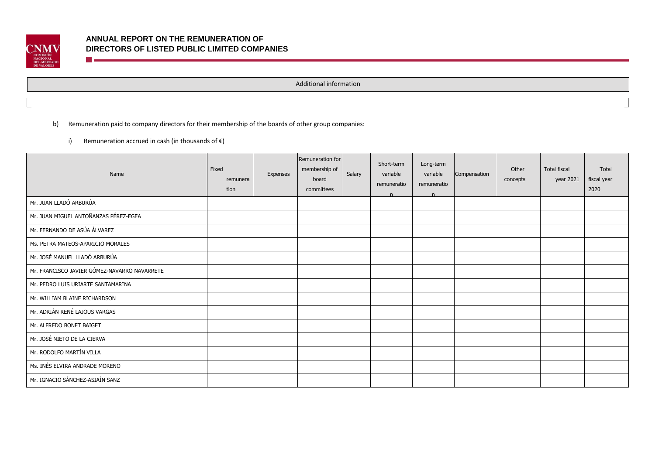

Additional information

b) Remuneration paid to company directors for their membership of the boards of other group companies:

i) Remuneration accrued in cash (in thousands of  $\epsilon$ )

**The contract of the contract of the contract** 

| Name                                         | Fixed<br>remunera<br>tion | Expenses | Remuneration for<br>membership of<br>board<br>committees | Salary | Short-term<br>variable<br>remuneratio<br>n | Long-term<br>variable<br>remuneratio<br>n | Compensation | Other<br>concepts | <b>Total fiscal</b><br>year 2021 | Total<br>fiscal year<br>2020 |
|----------------------------------------------|---------------------------|----------|----------------------------------------------------------|--------|--------------------------------------------|-------------------------------------------|--------------|-------------------|----------------------------------|------------------------------|
| Mr. JUAN LLADÓ ARBURÚA                       |                           |          |                                                          |        |                                            |                                           |              |                   |                                  |                              |
| Mr. JUAN MIGUEL ANTOÑANZAS PÉREZ-EGEA        |                           |          |                                                          |        |                                            |                                           |              |                   |                                  |                              |
| Mr. FERNANDO DE ASÚA ÁLVAREZ                 |                           |          |                                                          |        |                                            |                                           |              |                   |                                  |                              |
| Ms. PETRA MATEOS-APARICIO MORALES            |                           |          |                                                          |        |                                            |                                           |              |                   |                                  |                              |
| Mr. JOSÉ MANUEL LLADÓ ARBURÚA                |                           |          |                                                          |        |                                            |                                           |              |                   |                                  |                              |
| Mr. FRANCISCO JAVIER GÓMEZ-NAVARRO NAVARRETE |                           |          |                                                          |        |                                            |                                           |              |                   |                                  |                              |
| Mr. PEDRO LUIS URIARTE SANTAMARINA           |                           |          |                                                          |        |                                            |                                           |              |                   |                                  |                              |
| Mr. WILLIAM BLAINE RICHARDSON                |                           |          |                                                          |        |                                            |                                           |              |                   |                                  |                              |
| Mr. ADRIÁN RENÉ LAJOUS VARGAS                |                           |          |                                                          |        |                                            |                                           |              |                   |                                  |                              |
| Mr. ALFREDO BONET BAIGET                     |                           |          |                                                          |        |                                            |                                           |              |                   |                                  |                              |
| Mr. JOSÉ NIETO DE LA CIERVA                  |                           |          |                                                          |        |                                            |                                           |              |                   |                                  |                              |
| Mr. RODOLFO MARTÍN VILLA                     |                           |          |                                                          |        |                                            |                                           |              |                   |                                  |                              |
| Ms. INÉS ELVIRA ANDRADE MORENO               |                           |          |                                                          |        |                                            |                                           |              |                   |                                  |                              |
| Mr. IGNACIO SÁNCHEZ-ASIAÍN SANZ              |                           |          |                                                          |        |                                            |                                           |              |                   |                                  |                              |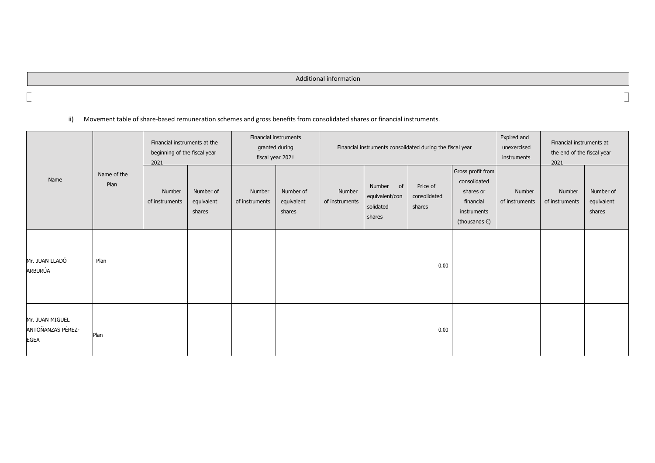# Additional information

# ii) Movement table of share-based remuneration schemes and gross benefits from consolidated shares or financial instruments.

|                                                     | Financial instruments at the<br>beginning of the fiscal year<br>2021 |                          |                                   |                          | Financial instruments<br>granted during<br>fiscal year 2021 |                          |                                                       | Financial instruments consolidated during the fiscal year |                                                                                                       | Expired and<br>unexercised<br>instruments | Financial instruments at<br>the end of the fiscal year<br>2021 |                                   |
|-----------------------------------------------------|----------------------------------------------------------------------|--------------------------|-----------------------------------|--------------------------|-------------------------------------------------------------|--------------------------|-------------------------------------------------------|-----------------------------------------------------------|-------------------------------------------------------------------------------------------------------|-------------------------------------------|----------------------------------------------------------------|-----------------------------------|
| Name                                                | Name of the<br>Plan                                                  | Number<br>of instruments | Number of<br>equivalent<br>shares | Number<br>of instruments | Number of<br>equivalent<br>shares                           | Number<br>of instruments | Number<br>of<br>equivalent/con<br>solidated<br>shares | Price of<br>consolidated<br>shares                        | Gross profit from<br>consolidated<br>shares or<br>financial<br>instruments<br>(thousands $\epsilon$ ) | Number<br>of instruments                  | Number<br>of instruments                                       | Number of<br>equivalent<br>shares |
| Mr. JUAN LLADÓ<br>ARBURÚA                           | Plan                                                                 |                          |                                   |                          |                                                             |                          |                                                       | 0.00                                                      |                                                                                                       |                                           |                                                                |                                   |
| Mr. JUAN MIGUEL<br>ANTOÑANZAS PÉREZ-<br><b>EGEA</b> | Plan                                                                 |                          |                                   |                          |                                                             |                          |                                                       | 0.00                                                      |                                                                                                       |                                           |                                                                |                                   |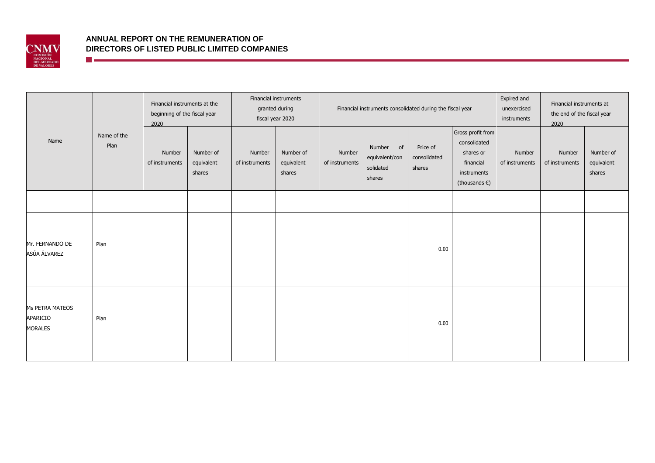

<u> Timber a San A</u>

# **ANNUAL REPORT ON THE REMUNERATION OF DIRECTORS OF LISTED PUBLIC LIMITED COMPANIES**

|                                               |                     | Financial instruments at the<br>beginning of the fiscal year<br>2020 |                                   | Financial instruments<br>granted during<br>fiscal year 2020 |                                   | Financial instruments consolidated during the fiscal year |                                                       |                                    |                                                                                                       | Expired and<br>unexercised<br>instruments | Financial instruments at<br>the end of the fiscal year<br>2020 |                                   |
|-----------------------------------------------|---------------------|----------------------------------------------------------------------|-----------------------------------|-------------------------------------------------------------|-----------------------------------|-----------------------------------------------------------|-------------------------------------------------------|------------------------------------|-------------------------------------------------------------------------------------------------------|-------------------------------------------|----------------------------------------------------------------|-----------------------------------|
| Name                                          | Name of the<br>Plan | Number<br>of instruments                                             | Number of<br>equivalent<br>shares | Number<br>of instruments                                    | Number of<br>equivalent<br>shares | Number<br>of instruments                                  | Number<br>of<br>equivalent/con<br>solidated<br>shares | Price of<br>consolidated<br>shares | Gross profit from<br>consolidated<br>shares or<br>financial<br>instruments<br>(thousands $\epsilon$ ) | Number<br>of instruments                  | Number<br>of instruments                                       | Number of<br>equivalent<br>shares |
|                                               |                     |                                                                      |                                   |                                                             |                                   |                                                           |                                                       |                                    |                                                                                                       |                                           |                                                                |                                   |
| Mr. FERNANDO DE<br>ASÚA ÁLVAREZ               | Plan                |                                                                      |                                   |                                                             |                                   |                                                           |                                                       | 0.00                               |                                                                                                       |                                           |                                                                |                                   |
| Ms PETRA MATEOS<br>APARICIO<br><b>MORALES</b> | Plan                |                                                                      |                                   |                                                             |                                   |                                                           |                                                       | 0.00                               |                                                                                                       |                                           |                                                                |                                   |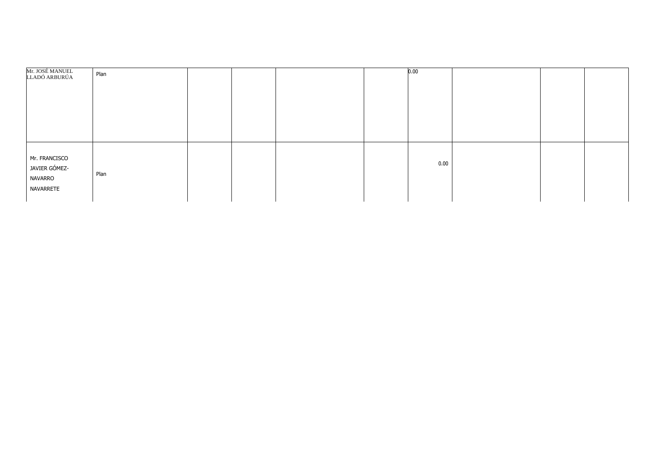| Mr. JOSÉ MANUEL<br>LLADÓ ARBURÚA                       | Plan |  |  | 0.00 |  |  |
|--------------------------------------------------------|------|--|--|------|--|--|
| Mr. FRANCISCO<br>JAVIER GÓMEZ-<br>NAVARRO<br>NAVARRETE | Plan |  |  | 0.00 |  |  |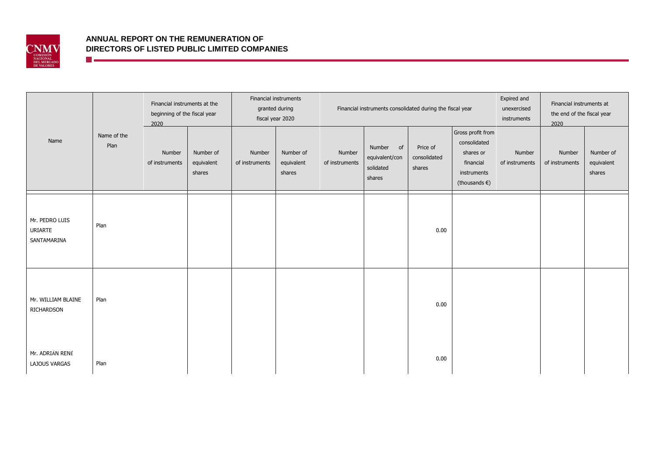

**The Communication** 

|                                          |                     | Financial instruments at the<br>beginning of the fiscal year<br>2020 |                                   | Financial instruments<br>granted during<br>fiscal year 2020 |                                   | Financial instruments consolidated during the fiscal year |                                                       |                                    |                                                                                                       | Expired and<br>unexercised<br>instruments | Financial instruments at<br>the end of the fiscal year<br>2020 |                                   |
|------------------------------------------|---------------------|----------------------------------------------------------------------|-----------------------------------|-------------------------------------------------------------|-----------------------------------|-----------------------------------------------------------|-------------------------------------------------------|------------------------------------|-------------------------------------------------------------------------------------------------------|-------------------------------------------|----------------------------------------------------------------|-----------------------------------|
| Name                                     | Name of the<br>Plan | Number<br>of instruments                                             | Number of<br>equivalent<br>shares | Number<br>of instruments                                    | Number of<br>equivalent<br>shares | Number<br>of instruments                                  | Number<br>of<br>equivalent/con<br>solidated<br>shares | Price of<br>consolidated<br>shares | Gross profit from<br>consolidated<br>shares or<br>financial<br>instruments<br>(thousands $\epsilon$ ) | Number<br>of instruments                  | Number<br>of instruments                                       | Number of<br>equivalent<br>shares |
| Mr. PEDRO LUIS<br>URIARTE<br>SANTAMARINA | Plan                |                                                                      |                                   |                                                             |                                   |                                                           |                                                       | 0.00                               |                                                                                                       |                                           |                                                                |                                   |
| Mr. WILLIAM BLAINE<br>RICHARDSON         | Plan                |                                                                      |                                   |                                                             |                                   |                                                           |                                                       | 0.00                               |                                                                                                       |                                           |                                                                |                                   |
| Mr. ADRIÁN RENÉ<br>LAJOUS VARGAS         | Plan                |                                                                      |                                   |                                                             |                                   |                                                           |                                                       | 0.00                               |                                                                                                       |                                           |                                                                |                                   |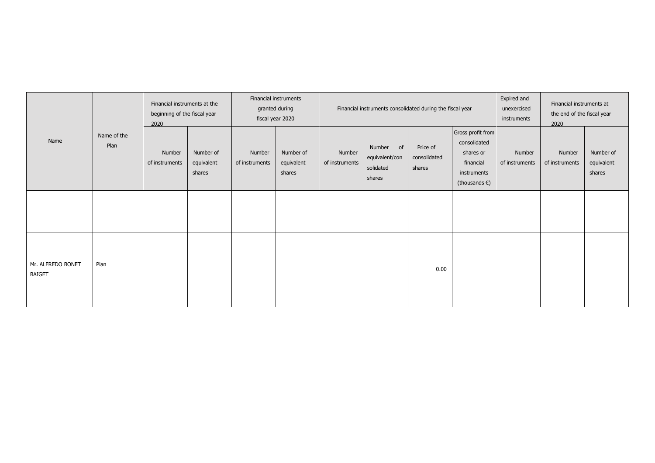|                                    |                     | Financial instruments at the<br>beginning of the fiscal year<br>2020 |                                   | Financial instruments<br>granted during<br>fiscal year 2020 |                                   | Financial instruments consolidated during the fiscal year |                                                       |                                    |                                                                                                       | Expired and<br>unexercised<br>instruments | Financial instruments at<br>the end of the fiscal year<br>2020 |                                   |
|------------------------------------|---------------------|----------------------------------------------------------------------|-----------------------------------|-------------------------------------------------------------|-----------------------------------|-----------------------------------------------------------|-------------------------------------------------------|------------------------------------|-------------------------------------------------------------------------------------------------------|-------------------------------------------|----------------------------------------------------------------|-----------------------------------|
| Name                               | Name of the<br>Plan | Number<br>of instruments                                             | Number of<br>equivalent<br>shares | Number<br>of instruments                                    | Number of<br>equivalent<br>shares | Number<br>of instruments                                  | Number<br>of<br>equivalent/con<br>solidated<br>shares | Price of<br>consolidated<br>shares | Gross profit from<br>consolidated<br>shares or<br>financial<br>instruments<br>(thousands $\epsilon$ ) | Number<br>of instruments                  | Number<br>of instruments                                       | Number of<br>equivalent<br>shares |
|                                    |                     |                                                                      |                                   |                                                             |                                   |                                                           |                                                       |                                    |                                                                                                       |                                           |                                                                |                                   |
| Mr. ALFREDO BONET<br><b>BAIGET</b> | Plan                |                                                                      |                                   |                                                             |                                   |                                                           |                                                       | 0.00                               |                                                                                                       |                                           |                                                                |                                   |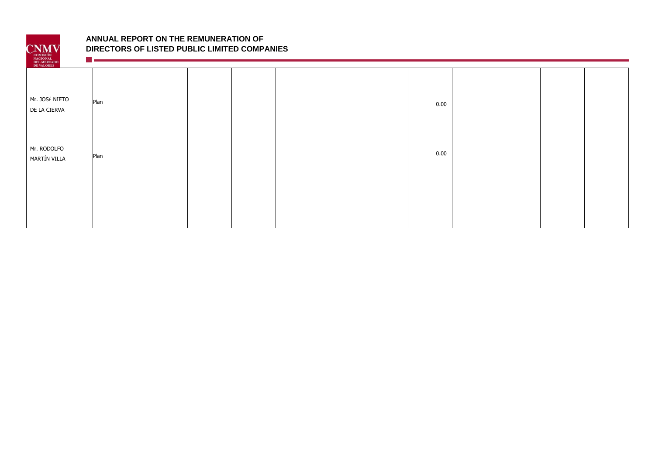

**Management of the Common** 

| DEL MERCADO<br>DE VALORES      |      |  |  |      |  |  |
|--------------------------------|------|--|--|------|--|--|
| Mr. JOSÉ NIETO<br>DE LA CIERVA | Plan |  |  | 0.00 |  |  |
| Mr. RODOLFO<br>MARTÍN VILLA    | Plan |  |  | 0.00 |  |  |
|                                |      |  |  |      |  |  |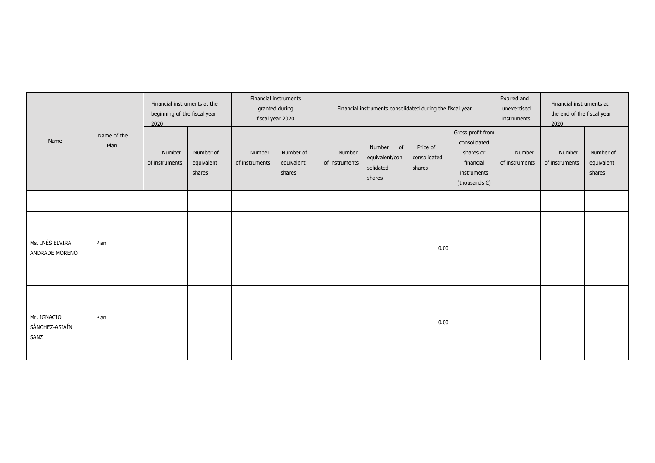|                                       |                     | Financial instruments at the<br>beginning of the fiscal year<br>2020 |                                   |                          | Financial instruments<br>granted during<br>fiscal year 2020 |                          | Financial instruments consolidated during the fiscal year |                                    |                                                                                                       |                          | Financial instruments at<br>the end of the fiscal year<br>2020 |                                   |
|---------------------------------------|---------------------|----------------------------------------------------------------------|-----------------------------------|--------------------------|-------------------------------------------------------------|--------------------------|-----------------------------------------------------------|------------------------------------|-------------------------------------------------------------------------------------------------------|--------------------------|----------------------------------------------------------------|-----------------------------------|
| Name                                  | Name of the<br>Plan | Number<br>of instruments                                             | Number of<br>equivalent<br>shares | Number<br>of instruments | Number of<br>equivalent<br>shares                           | Number<br>of instruments | Number<br>of<br>equivalent/con<br>solidated<br>shares     | Price of<br>consolidated<br>shares | Gross profit from<br>consolidated<br>shares or<br>financial<br>instruments<br>(thousands $\epsilon$ ) | Number<br>of instruments | Number<br>of instruments                                       | Number of<br>equivalent<br>shares |
|                                       |                     |                                                                      |                                   |                          |                                                             |                          |                                                           |                                    |                                                                                                       |                          |                                                                |                                   |
| Ms. INÉS ELVIRA<br>ANDRADE MORENO     | Plan                |                                                                      |                                   |                          |                                                             |                          |                                                           | 0.00                               |                                                                                                       |                          |                                                                |                                   |
| Mr. IGNACIO<br>SÁNCHEZ-ASIAÍN<br>SANZ | Plan                |                                                                      |                                   |                          |                                                             |                          |                                                           | 0.00                               |                                                                                                       |                          |                                                                |                                   |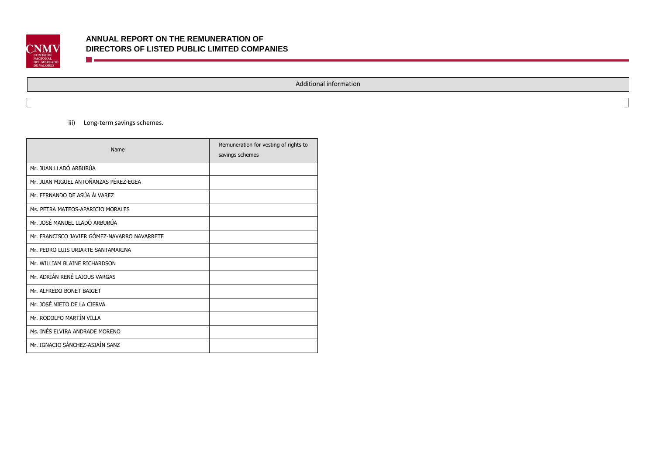

Additional information

 $\overline{\phantom{a}}$ 

iii) Long-term savings schemes.

<u> Timber a Communication and the Communication and the Communication and the Communication and the Communication and the Communication and the Communication and the Communication and the Communication and the Communication</u>

| Name                                         | Remuneration for vesting of rights to<br>savings schemes |
|----------------------------------------------|----------------------------------------------------------|
| Mr. JUAN LLADÓ ARBURÚA                       |                                                          |
| Mr. JUAN MIGUEL ANTOÑANZAS PÉREZ-EGEA        |                                                          |
| Mr. FERNANDO DE ASÚA ÁLVAREZ                 |                                                          |
| Ms. PETRA MATEOS-APARICIO MORALES            |                                                          |
| Mr. JOSÉ MANUEL LLADÓ ARBURÚA                |                                                          |
| Mr. FRANCISCO JAVIER GÓMEZ-NAVARRO NAVARRETE |                                                          |
| Mr. PEDRO LUIS URIARTE SANTAMARINA           |                                                          |
| Mr. WILLIAM BLAINE RICHARDSON                |                                                          |
| Mr. ADRIÁN RENÉ LAJOUS VARGAS                |                                                          |
| Mr. ALFREDO BONET BAIGET                     |                                                          |
| Mr. JOSÉ NIETO DE LA CIERVA                  |                                                          |
| Mr. RODOLFO MARTÍN VILLA                     |                                                          |
| Ms. INÉS ELVIRA ANDRADE MORENO               |                                                          |
| Mr. IGNACIO SÁNCHEZ-ASIAÍN SANZ              |                                                          |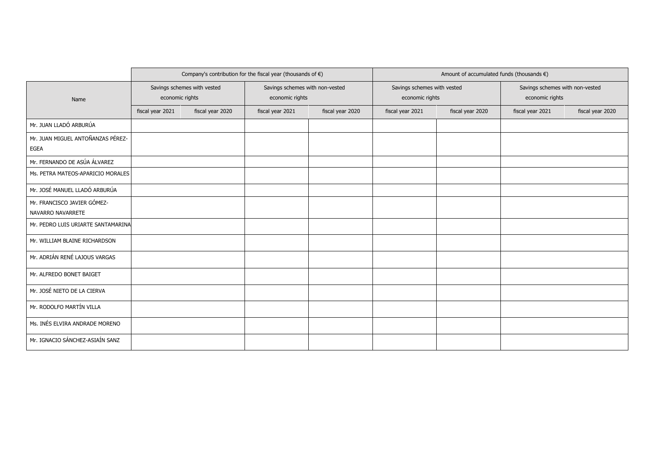|                                    |                  |                             | Company's contribution for the fiscal year (thousands of $\epsilon$ ) |                  | Amount of accumulated funds (thousands $\epsilon$ ) |                  |                                 |                  |  |  |
|------------------------------------|------------------|-----------------------------|-----------------------------------------------------------------------|------------------|-----------------------------------------------------|------------------|---------------------------------|------------------|--|--|
|                                    |                  | Savings schemes with vested | Savings schemes with non-vested                                       |                  | Savings schemes with vested                         |                  | Savings schemes with non-vested |                  |  |  |
| Name                               | economic rights  |                             | economic rights                                                       |                  | economic rights                                     |                  | economic rights                 |                  |  |  |
|                                    | fiscal year 2021 | fiscal year 2020            | fiscal year 2021                                                      | fiscal year 2020 | fiscal year 2021                                    | fiscal year 2020 | fiscal year 2021                | fiscal year 2020 |  |  |
| Mr. JUAN LLADÓ ARBURÚA             |                  |                             |                                                                       |                  |                                                     |                  |                                 |                  |  |  |
| Mr. JUAN MIGUEL ANTOÑANZAS PÉREZ-  |                  |                             |                                                                       |                  |                                                     |                  |                                 |                  |  |  |
| <b>EGEA</b>                        |                  |                             |                                                                       |                  |                                                     |                  |                                 |                  |  |  |
| Mr. FERNANDO DE ASÚA ÁLVAREZ       |                  |                             |                                                                       |                  |                                                     |                  |                                 |                  |  |  |
| Ms. PETRA MATEOS-APARICIO MORALES  |                  |                             |                                                                       |                  |                                                     |                  |                                 |                  |  |  |
| Mr. JOSÉ MANUEL LLADÓ ARBURÚA      |                  |                             |                                                                       |                  |                                                     |                  |                                 |                  |  |  |
| Mr. FRANCISCO JAVIER GÓMEZ-        |                  |                             |                                                                       |                  |                                                     |                  |                                 |                  |  |  |
| NAVARRO NAVARRETE                  |                  |                             |                                                                       |                  |                                                     |                  |                                 |                  |  |  |
| Mr. PEDRO LUIS URIARTE SANTAMARINA |                  |                             |                                                                       |                  |                                                     |                  |                                 |                  |  |  |
| Mr. WILLIAM BLAINE RICHARDSON      |                  |                             |                                                                       |                  |                                                     |                  |                                 |                  |  |  |
| Mr. ADRIÁN RENÉ LAJOUS VARGAS      |                  |                             |                                                                       |                  |                                                     |                  |                                 |                  |  |  |
| Mr. ALFREDO BONET BAIGET           |                  |                             |                                                                       |                  |                                                     |                  |                                 |                  |  |  |
| Mr. JOSÉ NIETO DE LA CIERVA        |                  |                             |                                                                       |                  |                                                     |                  |                                 |                  |  |  |
| Mr. RODOLFO MARTÍN VILLA           |                  |                             |                                                                       |                  |                                                     |                  |                                 |                  |  |  |
| Ms. INÉS ELVIRA ANDRADE MORENO     |                  |                             |                                                                       |                  |                                                     |                  |                                 |                  |  |  |
| Mr. IGNACIO SÁNCHEZ-ASIAÍN SANZ    |                  |                             |                                                                       |                  |                                                     |                  |                                 |                  |  |  |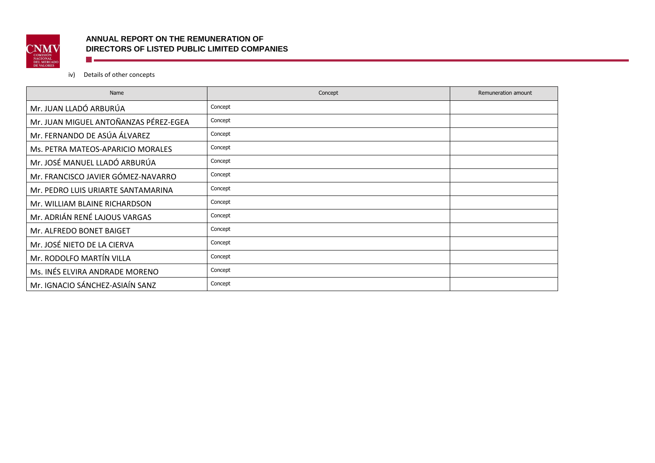

# **ANNUAL REPORT ON THE REMUNERATION OF DIRECTORS OF LISTED PUBLIC LIMITED COMPANIES The Communist Communist Communist Communist Communist Communist Communist Communist Communist Communist Communist**

# iv) Details of other concepts

| Name                                  | Concept | Remuneration amount |
|---------------------------------------|---------|---------------------|
| Mr. JUAN LLADÓ ARBURÚA                | Concept |                     |
| Mr. JUAN MIGUEL ANTOÑANZAS PÉREZ-EGEA | Concept |                     |
| Mr. FERNANDO DE ASÚA ÁLVAREZ          | Concept |                     |
| Ms. PETRA MATEOS-APARICIO MORALES     | Concept |                     |
| Mr. JOSÉ MANUEL LLADÓ ARBURÚA         | Concept |                     |
| Mr. FRANCISCO JAVIER GÓMEZ-NAVARRO    | Concept |                     |
| Mr. PEDRO LUIS URIARTE SANTAMARINA    | Concept |                     |
| Mr. WILLIAM BLAINE RICHARDSON         | Concept |                     |
| Mr. ADRIÁN RENÉ LAJOUS VARGAS         | Concept |                     |
| Mr. ALFREDO BONET BAIGET              | Concept |                     |
| Mr. JOSÉ NIETO DE LA CIERVA           | Concept |                     |
| Mr. RODOLFO MARTÍN VILLA              | Concept |                     |
| Ms. INÉS ELVIRA ANDRADE MORENO        | Concept |                     |
| Mr. IGNACIO SÁNCHEZ-ASIAÍN SANZ       | Concept |                     |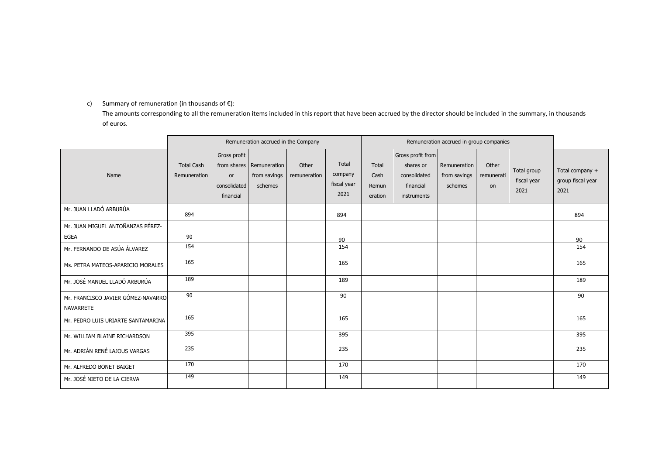## c) Summary of remuneration (in thousands of  $E$ ):

The amounts corresponding to all the remuneration items included in this report that have been accrued by the director should be included in the summary, in thousands of euros.

|                                                  | Remuneration accrued in the Company |                                                 |                                                       |                       |                                         |                                   | Remuneration accrued in group companies                                    |                                         |                           |                                    |                                              |  |
|--------------------------------------------------|-------------------------------------|-------------------------------------------------|-------------------------------------------------------|-----------------------|-----------------------------------------|-----------------------------------|----------------------------------------------------------------------------|-----------------------------------------|---------------------------|------------------------------------|----------------------------------------------|--|
| Name                                             | <b>Total Cash</b><br>Remuneration   | Gross profit<br>or<br>consolidated<br>financial | from shares   Remuneration<br>from savings<br>schemes | Other<br>remuneration | Total<br>company<br>fiscal year<br>2021 | Total<br>Cash<br>Remun<br>eration | Gross profit from<br>shares or<br>consolidated<br>financial<br>instruments | Remuneration<br>from savings<br>schemes | Other<br>remunerati<br>on | Total group<br>fiscal year<br>2021 | Total company +<br>group fiscal year<br>2021 |  |
| Mr. JUAN LLADÓ ARBURÚA                           | 894                                 |                                                 |                                                       |                       | 894                                     |                                   |                                                                            |                                         |                           |                                    | 894                                          |  |
| Mr. JUAN MIGUEL ANTOÑANZAS PÉREZ-<br><b>EGEA</b> | 90                                  |                                                 |                                                       |                       |                                         |                                   |                                                                            |                                         |                           |                                    |                                              |  |
| Mr. FERNANDO DE ASÚA ÁLVAREZ                     | 154                                 |                                                 |                                                       |                       | 90<br>154                               |                                   |                                                                            |                                         |                           |                                    | 90<br>154                                    |  |
| Ms. PETRA MATEOS-APARICIO MORALES                | 165                                 |                                                 |                                                       |                       | 165                                     |                                   |                                                                            |                                         |                           |                                    | 165                                          |  |
| Mr. JOSÉ MANUEL LLADÓ ARBURÚA                    | 189                                 |                                                 |                                                       |                       | 189                                     |                                   |                                                                            |                                         |                           |                                    | 189                                          |  |
| Mr. FRANCISCO JAVIER GÓMEZ-NAVARRO<br>NAVARRETE  | $\overline{90}$                     |                                                 |                                                       |                       | 90                                      |                                   |                                                                            |                                         |                           |                                    | 90                                           |  |
| Mr. PEDRO LUIS URIARTE SANTAMARINA               | 165                                 |                                                 |                                                       |                       | 165                                     |                                   |                                                                            |                                         |                           |                                    | 165                                          |  |
| Mr. WILLIAM BLAINE RICHARDSON                    | 395                                 |                                                 |                                                       |                       | 395                                     |                                   |                                                                            |                                         |                           |                                    | 395                                          |  |
| Mr. ADRIÁN RENÉ LAJOUS VARGAS                    | 235                                 |                                                 |                                                       |                       | 235                                     |                                   |                                                                            |                                         |                           |                                    | 235                                          |  |
| Mr. ALFREDO BONET BAIGET                         | 170                                 |                                                 |                                                       |                       | 170                                     |                                   |                                                                            |                                         |                           |                                    | 170                                          |  |
| Mr. JOSÉ NIETO DE LA CIERVA                      | 149                                 |                                                 |                                                       |                       | 149                                     |                                   |                                                                            |                                         |                           |                                    | 149                                          |  |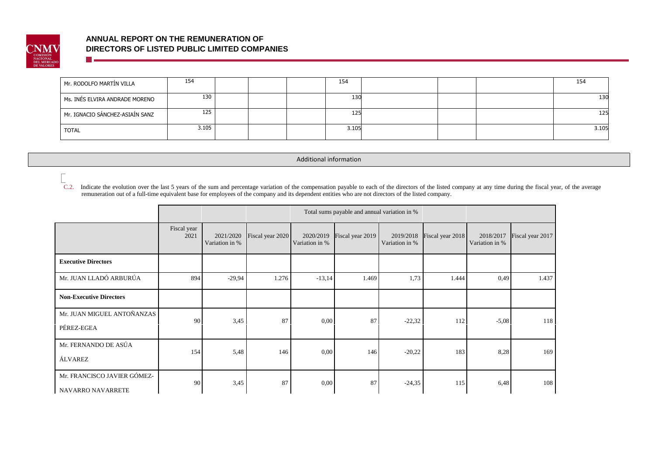

**Time** 

# **ANNUAL REPORT ON THE REMUNERATION OF DIRECTORS OF LISTED PUBLIC LIMITED COMPANIES**

| Mr. RODOLFO MARTÍN VILLA        | 154   |  | 154   |  | 154   |
|---------------------------------|-------|--|-------|--|-------|
| Ms. INÉS ELVIRA ANDRADE MORENO  | 130   |  | 130   |  | 130   |
| Mr. IGNACIO SÁNCHEZ-ASIAÍN SANZ | 125   |  | 125   |  | 125   |
| <b>TOTAL</b>                    | 3.105 |  | 3.105 |  | 3.105 |

Additional information

C.2. Indicate the evolution over the last 5 years of the sum and percentage variation of the compensation payable to each of the directors of the listed company at any time during the fiscal year, of the average remuneration out of a full-time equivalent base for employees of the company and its dependent entities who are not directors of the listed company.

|                                                  |                     |                             |                  |                             | Total sums payable and annual variation in % |                             |                  |                             |                  |
|--------------------------------------------------|---------------------|-----------------------------|------------------|-----------------------------|----------------------------------------------|-----------------------------|------------------|-----------------------------|------------------|
|                                                  | Fiscal year<br>2021 | 2021/2020<br>Variation in % | Fiscal year 2020 | 2020/2019<br>Variation in % | Fiscal year 2019                             | 2019/2018<br>Variation in % | Fiscal year 2018 | 2018/2017<br>Variation in % | Fiscal year 2017 |
| <b>Executive Directors</b>                       |                     |                             |                  |                             |                                              |                             |                  |                             |                  |
| Mr. JUAN LLADÓ ARBURÚA                           | 894                 | $-29.94$                    | 1.276            | $-13,14$                    | 1.469                                        | 1,73                        | 1.444            | 0,49                        | 1.437            |
| <b>Non-Executive Directors</b>                   |                     |                             |                  |                             |                                              |                             |                  |                             |                  |
| Mr. JUAN MIGUEL ANTOÑANZAS<br>PÉREZ-EGEA         | 90                  | 3,45                        | 87               | 0,00                        | 87                                           | $-22,32$                    | 112              | $-5,08$                     | 118              |
| Mr. FERNANDO DE ASÚA<br>ÁLVAREZ                  | 154                 | 5,48                        | 146              | 0,00                        | 146                                          | $-20,22$                    | 183              | 8,28                        | 169              |
| Mr. FRANCISCO JAVIER GÓMEZ-<br>NAVARRO NAVARRETE | 90                  | 3,45                        | 87               | 0,00                        | 87                                           | $-24,35$                    | 115              | 6,48                        | 108              |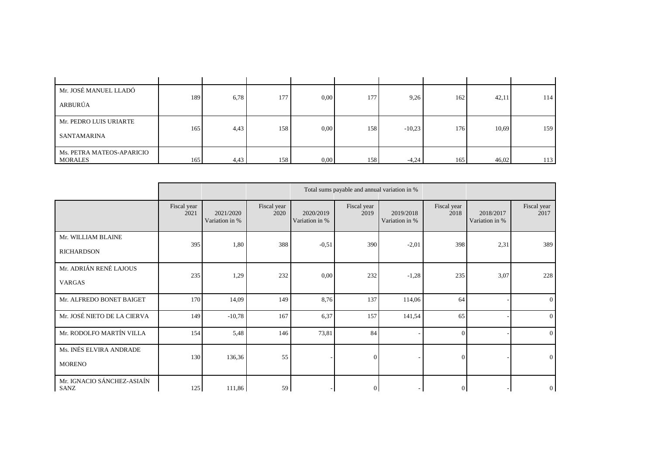| Mr. JOSÉ MANUEL LLADÓ     |     |      |     |      |     |          |     |       |     |
|---------------------------|-----|------|-----|------|-----|----------|-----|-------|-----|
| ARBURÚA                   | 189 | 6,78 | 177 | 0.00 | 177 | 9,26     | 162 | 42,11 | 114 |
|                           |     |      |     |      |     |          |     |       |     |
| Mr. PEDRO LUIS URIARTE    |     |      |     |      |     |          |     |       |     |
|                           | 165 | 4.43 | 158 | 0.00 | 158 | $-10,23$ | 176 | 10,69 | 159 |
| SANTAMARINA               |     |      |     |      |     |          |     |       |     |
| Ms. PETRA MATEOS-APARICIO |     |      |     |      |     |          |     |       |     |
| <b>MORALES</b>            | 165 | 4,43 | 158 | 0.00 | 158 | $-4,24$  | 165 | 46,02 | 113 |

|                                          |                     |                             |                     |                             | Total sums payable and annual variation in % |                             |                     |                             |                     |
|------------------------------------------|---------------------|-----------------------------|---------------------|-----------------------------|----------------------------------------------|-----------------------------|---------------------|-----------------------------|---------------------|
|                                          | Fiscal year<br>2021 | 2021/2020<br>Variation in % | Fiscal year<br>2020 | 2020/2019<br>Variation in % | Fiscal year<br>2019                          | 2019/2018<br>Variation in % | Fiscal year<br>2018 | 2018/2017<br>Variation in % | Fiscal year<br>2017 |
| Mr. WILLIAM BLAINE<br><b>RICHARDSON</b>  | 395                 | 1,80                        | 388                 | $-0,51$                     | 390                                          | $-2,01$                     | 398                 | 2,31                        | 389                 |
| Mr. ADRIÁN RENÉ LAJOUS<br><b>VARGAS</b>  | 235                 | 1,29                        | 232                 | 0,00                        | 232                                          | $-1,28$                     | 235                 | 3,07                        | 228                 |
| Mr. ALFREDO BONET BAIGET                 | 170                 | 14,09                       | 149                 | 8,76                        | 137                                          | 114,06                      | 64                  |                             | $\theta$            |
| Mr. JOSÉ NIETO DE LA CIERVA              | 149                 | $-10,78$                    | 167                 | 6,37                        | 157                                          | 141,54                      | 65                  |                             | $\overline{0}$      |
| Mr. RODOLFO MARTÍN VILLA                 | 154                 | 5,48                        | 146                 | 73,81                       | 84                                           |                             | $\Omega$            |                             | $\Omega$            |
| Ms. INÉS ELVIRA ANDRADE<br><b>MORENO</b> | 130                 | 136,36                      | 55                  |                             | $\Omega$                                     |                             | $\Omega$            |                             | $\theta$            |
| Mr. IGNACIO SÁNCHEZ-ASIAÍN<br>SANZ       | 125                 | 111,86                      | 59                  |                             | $\overline{0}$                               |                             | $\overline{0}$      |                             | $\mathbf{0}$        |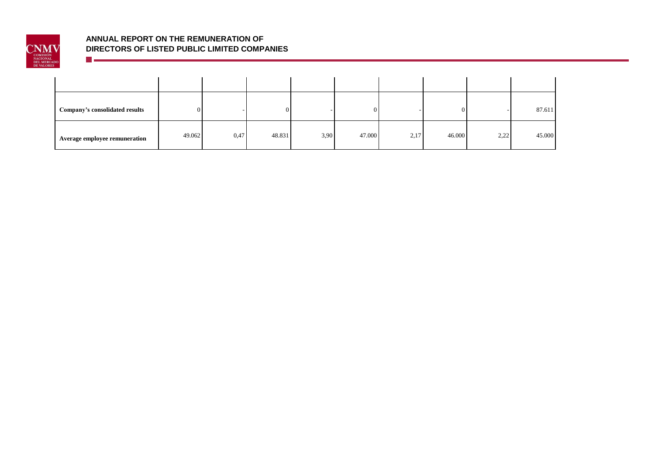

<u> Timber a San A</u>

| Company's consolidated results |        |      |        |      |        |      |        |      | 87.611 |
|--------------------------------|--------|------|--------|------|--------|------|--------|------|--------|
| Average employee remuneration  | 49.062 | 0,47 | 48.831 | 3,90 | 47.000 | 2,17 | 46.000 | 2,22 | 45.000 |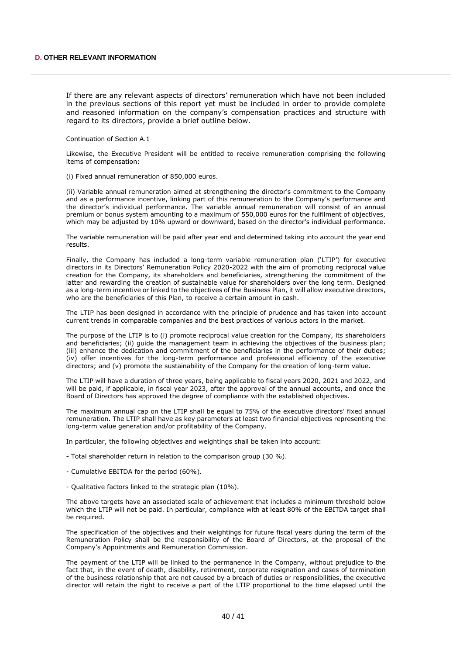If there are any relevant aspects of directors' remuneration which have not been included in the previous sections of this report yet must be included in order to provide complete and reasoned information on the company's compensation practices and structure with regard to its directors, provide a brief outline below.

Continuation of Section A.1

Likewise, the Executive President will be entitled to receive remuneration comprising the following items of compensation:

(i) Fixed annual remuneration of 850,000 euros.

(ii) Variable annual remuneration aimed at strengthening the director's commitment to the Company and as a performance incentive, linking part of this remuneration to the Company's performance and the director's individual performance. The variable annual remuneration will consist of an annual premium or bonus system amounting to a maximum of 550,000 euros for the fulfilment of objectives, which may be adjusted by 10% upward or downward, based on the director's individual performance.

The variable remuneration will be paid after year end and determined taking into account the year end results.

Finally, the Company has included a long-term variable remuneration plan ('LTIP') for executive directors in its Directors' Remuneration Policy 2020-2022 with the aim of promoting reciprocal value creation for the Company, its shareholders and beneficiaries, strengthening the commitment of the latter and rewarding the creation of sustainable value for shareholders over the long term. Designed as a long-term incentive or linked to the objectives of the Business Plan, it will allow executive directors, who are the beneficiaries of this Plan, to receive a certain amount in cash.

The LTIP has been designed in accordance with the principle of prudence and has taken into account current trends in comparable companies and the best practices of various actors in the market.

The purpose of the LTIP is to (i) promote reciprocal value creation for the Company, its shareholders and beneficiaries; (ii) guide the management team in achieving the objectives of the business plan; (iii) enhance the dedication and commitment of the beneficiaries in the performance of their duties; (iv) offer incentives for the long-term performance and professional efficiency of the executive directors; and (v) promote the sustainability of the Company for the creation of long-term value.

The LTIP will have a duration of three years, being applicable to fiscal years 2020, 2021 and 2022, and will be paid, if applicable, in fiscal year 2023, after the approval of the annual accounts, and once the Board of Directors has approved the degree of compliance with the established objectives.

The maximum annual cap on the LTIP shall be equal to 75% of the executive directors' fixed annual remuneration. The LTIP shall have as key parameters at least two financial objectives representing the long-term value generation and/or profitability of the Company.

In particular, the following objectives and weightings shall be taken into account:

- Total shareholder return in relation to the comparison group (30 %).
- Cumulative EBITDA for the period (60%).
- Qualitative factors linked to the strategic plan (10%).

The above targets have an associated scale of achievement that includes a minimum threshold below which the LTIP will not be paid. In particular, compliance with at least 80% of the EBITDA target shall be required.

The specification of the objectives and their weightings for future fiscal years during the term of the Remuneration Policy shall be the responsibility of the Board of Directors, at the proposal of the Company's Appointments and Remuneration Commission.

The payment of the LTIP will be linked to the permanence in the Company, without prejudice to the fact that, in the event of death, disability, retirement, corporate resignation and cases of termination of the business relationship that are not caused by a breach of duties or responsibilities, the executive director will retain the right to receive a part of the LTIP proportional to the time elapsed until the